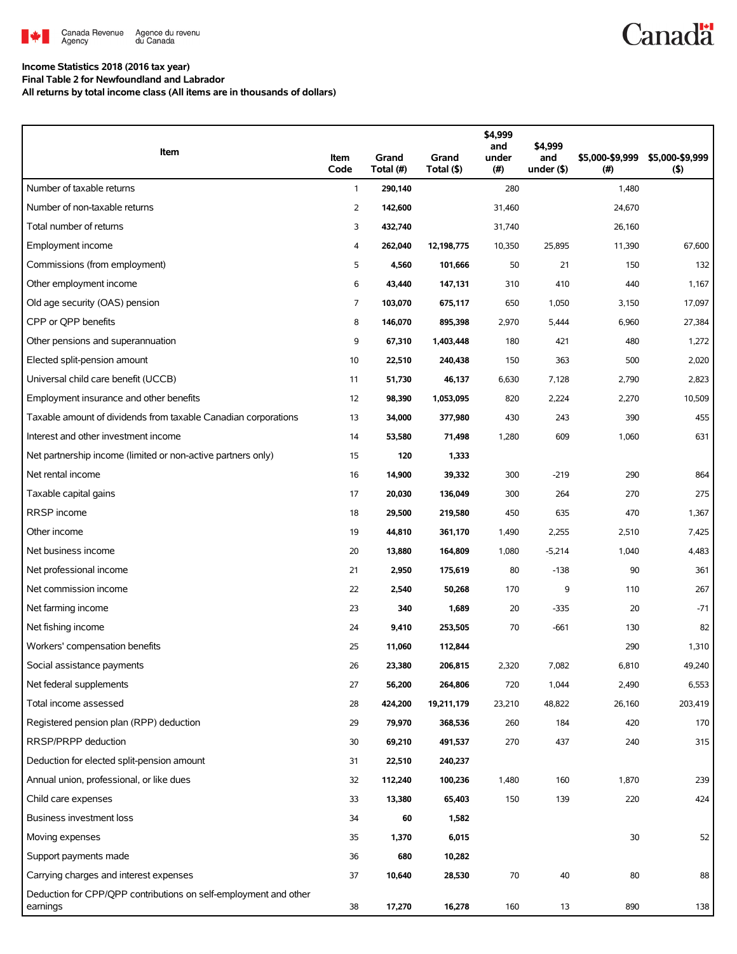

## **Income Statistics 2018 (2016 tax year)**

**Final Table 2 for Newfoundland and Labrador**

**All returns by total income class (All items are in thousands of dollars)**

| Item                                                                         | Item<br>Code   | Grand<br>Total (#) | Grand<br>Total (\$) | \$4,999<br>and<br>under<br>(#) | \$4,999<br>and<br>under $($ \$) | \$5,000-\$9,999<br>(#) | \$5,000-\$9,999<br>(5) |
|------------------------------------------------------------------------------|----------------|--------------------|---------------------|--------------------------------|---------------------------------|------------------------|------------------------|
| Number of taxable returns                                                    | $\mathbf{1}$   | 290,140            |                     | 280                            |                                 | 1,480                  |                        |
| Number of non-taxable returns                                                | $\overline{2}$ | 142,600            |                     | 31,460                         |                                 | 24,670                 |                        |
| Total number of returns                                                      | 3              | 432,740            |                     | 31,740                         |                                 | 26,160                 |                        |
| Employment income                                                            | 4              | 262,040            | 12,198,775          | 10,350                         | 25,895                          | 11,390                 | 67,600                 |
| Commissions (from employment)                                                | 5              | 4,560              | 101,666             | 50                             | 21                              | 150                    | 132                    |
| Other employment income                                                      | 6              | 43,440             | 147,131             | 310                            | 410                             | 440                    | 1,167                  |
| Old age security (OAS) pension                                               | $\overline{7}$ | 103,070            | 675,117             | 650                            | 1,050                           | 3,150                  | 17,097                 |
| CPP or OPP benefits                                                          | 8              | 146,070            | 895,398             | 2,970                          | 5,444                           | 6,960                  | 27,384                 |
| Other pensions and superannuation                                            | 9              | 67,310             | 1,403,448           | 180                            | 421                             | 480                    | 1,272                  |
| Elected split-pension amount                                                 | 10             | 22,510             | 240,438             | 150                            | 363                             | 500                    | 2,020                  |
| Universal child care benefit (UCCB)                                          | 11             | 51,730             | 46,137              | 6,630                          | 7,128                           | 2,790                  | 2,823                  |
| Employment insurance and other benefits                                      | 12             | 98,390             | 1,053,095           | 820                            | 2,224                           | 2,270                  | 10,509                 |
| Taxable amount of dividends from taxable Canadian corporations               | 13             | 34,000             | 377,980             | 430                            | 243                             | 390                    | 455                    |
| Interest and other investment income                                         | 14             | 53,580             | 71,498              | 1,280                          | 609                             | 1,060                  | 631                    |
| Net partnership income (limited or non-active partners only)                 | 15             | 120                | 1,333               |                                |                                 |                        |                        |
| Net rental income                                                            | 16             | 14,900             | 39,332              | 300                            | $-219$                          | 290                    | 864                    |
| Taxable capital gains                                                        | 17             | 20,030             | 136,049             | 300                            | 264                             | 270                    | 275                    |
| RRSP income                                                                  | 18             | 29,500             | 219,580             | 450                            | 635                             | 470                    | 1,367                  |
| Other income                                                                 | 19             | 44,810             | 361,170             | 1,490                          | 2,255                           | 2,510                  | 7,425                  |
| Net business income                                                          | 20             | 13,880             | 164,809             | 1,080                          | $-5,214$                        | 1,040                  | 4,483                  |
| Net professional income                                                      | 21             | 2,950              | 175,619             | 80                             | $-138$                          | 90                     | 361                    |
| Net commission income                                                        | 22             | 2,540              | 50,268              | 170                            | 9                               | 110                    | 267                    |
| Net farming income                                                           | 23             | 340                | 1,689               | 20                             | $-335$                          | 20                     | $-71$                  |
| Net fishing income                                                           | 24             | 9,410              | 253,505             | 70                             | $-661$                          | 130                    | 82                     |
| Workers' compensation benefits                                               | 25             | 11,060             | 112,844             |                                |                                 | 290                    | 1,310                  |
| Social assistance payments                                                   | 26             | 23,380             | 206,815             | 2,320                          | 7,082                           | 6,810                  | 49,240                 |
| Net federal supplements                                                      | 27             | 56,200             | 264,806             | 720                            | 1,044                           | 2,490                  | 6,553                  |
| Total income assessed                                                        | 28             | 424,200            | 19,211,179          | 23,210                         | 48,822                          | 26,160                 | 203,419                |
| Registered pension plan (RPP) deduction                                      | 29             | 79,970             | 368,536             | 260                            | 184                             | 420                    | 170                    |
| RRSP/PRPP deduction                                                          | 30             | 69,210             | 491,537             | 270                            | 437                             | 240                    | 315                    |
| Deduction for elected split-pension amount                                   | 31             | 22,510             | 240,237             |                                |                                 |                        |                        |
| Annual union, professional, or like dues                                     | 32             | 112,240            | 100,236             | 1,480                          | 160                             | 1,870                  | 239                    |
| Child care expenses                                                          | 33             | 13,380             | 65,403              | 150                            | 139                             | 220                    | 424                    |
| Business investment loss                                                     | 34             | 60                 | 1,582               |                                |                                 |                        |                        |
| Moving expenses                                                              | 35             | 1,370              | 6,015               |                                |                                 | 30                     | 52                     |
| Support payments made                                                        | 36             | 680                | 10,282              |                                |                                 |                        |                        |
| Carrying charges and interest expenses                                       | 37             | 10,640             | 28,530              | 70                             | 40                              | 80                     | 88                     |
| Deduction for CPP/QPP contributions on self-employment and other<br>earnings | 38             | 17,270             | 16,278              | 160                            | 13                              | 890                    | 138                    |

**Canadä**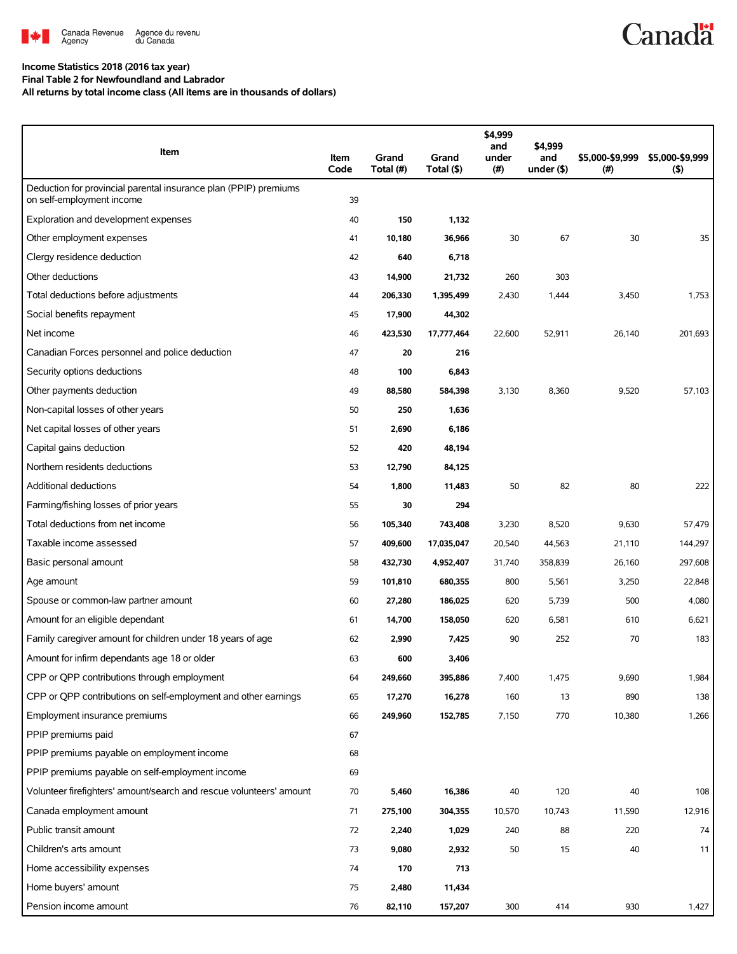

## **Income Statistics 2018 (2016 tax year)**

**Final Table 2 for Newfoundland and Labrador**

**All returns by total income class (All items are in thousands of dollars)**

| Item                                                                                          | Item<br>Code | Grand<br>Total (#) | Grand<br>Total (\$) | \$4,999<br>and<br>under<br>(# ) | \$4,999<br>and<br>under $($ \$) | \$5,000-\$9,999<br>(#) | \$5,000-\$9,999<br>(5) |
|-----------------------------------------------------------------------------------------------|--------------|--------------------|---------------------|---------------------------------|---------------------------------|------------------------|------------------------|
| Deduction for provincial parental insurance plan (PPIP) premiums<br>on self-employment income | 39           |                    |                     |                                 |                                 |                        |                        |
| Exploration and development expenses                                                          | 40           | 150                | 1,132               |                                 |                                 |                        |                        |
| Other employment expenses                                                                     | 41           | 10,180             | 36,966              | 30                              | 67                              | 30                     | 35                     |
| Clergy residence deduction                                                                    | 42           | 640                | 6,718               |                                 |                                 |                        |                        |
| Other deductions                                                                              | 43           | 14,900             | 21,732              | 260                             | 303                             |                        |                        |
| Total deductions before adjustments                                                           | 44           | 206,330            | 1,395,499           | 2,430                           | 1,444                           | 3,450                  | 1,753                  |
| Social benefits repayment                                                                     | 45           | 17,900             | 44,302              |                                 |                                 |                        |                        |
| Net income                                                                                    | 46           | 423,530            | 17,777,464          | 22,600                          | 52,911                          | 26,140                 | 201,693                |
| Canadian Forces personnel and police deduction                                                | 47           | 20                 | 216                 |                                 |                                 |                        |                        |
| Security options deductions                                                                   | 48           | 100                | 6,843               |                                 |                                 |                        |                        |
| Other payments deduction                                                                      | 49           | 88,580             | 584,398             | 3,130                           | 8,360                           | 9,520                  | 57,103                 |
| Non-capital losses of other years                                                             | 50           | 250                | 1,636               |                                 |                                 |                        |                        |
| Net capital losses of other years                                                             | 51           | 2,690              | 6,186               |                                 |                                 |                        |                        |
| Capital gains deduction                                                                       | 52           | 420                | 48,194              |                                 |                                 |                        |                        |
| Northern residents deductions                                                                 | 53           | 12,790             | 84,125              |                                 |                                 |                        |                        |
| <b>Additional deductions</b>                                                                  | 54           | 1,800              | 11,483              | 50                              | 82                              | 80                     | 222                    |
| Farming/fishing losses of prior years                                                         | 55           | 30                 | 294                 |                                 |                                 |                        |                        |
| Total deductions from net income                                                              | 56           | 105,340            | 743,408             | 3,230                           | 8,520                           | 9,630                  | 57,479                 |
| Taxable income assessed                                                                       | 57           | 409,600            | 17,035,047          | 20,540                          | 44,563                          | 21,110                 | 144,297                |
| Basic personal amount                                                                         | 58           | 432,730            | 4,952,407           | 31,740                          | 358,839                         | 26,160                 | 297,608                |
| Age amount                                                                                    | 59           | 101,810            | 680,355             | 800                             | 5,561                           | 3,250                  | 22,848                 |
| Spouse or common-law partner amount                                                           | 60           | 27,280             | 186,025             | 620                             | 5,739                           | 500                    | 4,080                  |
| Amount for an eligible dependant                                                              | 61           | 14,700             | 158,050             | 620                             | 6,581                           | 610                    | 6,621                  |
| Family caregiver amount for children under 18 years of age                                    | 62           | 2,990              | 7,425               | 90                              | 252                             | 70                     | 183                    |
| Amount for infirm dependants age 18 or older                                                  | 63           | 600                | 3,406               |                                 |                                 |                        |                        |
| CPP or QPP contributions through employment                                                   | 64           | 249,660            | 395,886             | 7,400                           | 1,475                           | 9,690                  | 1,984                  |
| CPP or QPP contributions on self-employment and other earnings                                | 65           | 17,270             | 16,278              | 160                             | 13                              | 890                    | 138                    |
| Employment insurance premiums                                                                 | 66           | 249,960            | 152,785             | 7,150                           | 770                             | 10,380                 | 1,266                  |
| PPIP premiums paid                                                                            | 67           |                    |                     |                                 |                                 |                        |                        |
| PPIP premiums payable on employment income                                                    | 68           |                    |                     |                                 |                                 |                        |                        |
| PPIP premiums payable on self-employment income                                               | 69           |                    |                     |                                 |                                 |                        |                        |
| Volunteer firefighters' amount/search and rescue volunteers' amount                           | 70           | 5,460              | 16,386              | 40                              | 120                             | 40                     | 108                    |
| Canada employment amount                                                                      | 71           | 275,100            | 304,355             | 10,570                          | 10,743                          | 11,590                 | 12,916                 |
| Public transit amount                                                                         | 72           | 2,240              | 1,029               | 240                             | 88                              | 220                    | 74                     |
| Children's arts amount                                                                        | 73           | 9,080              | 2,932               | 50                              | 15                              | 40                     | 11                     |
| Home accessibility expenses                                                                   | 74           | 170                | 713                 |                                 |                                 |                        |                        |
| Home buyers' amount                                                                           | 75           | 2,480              | 11,434              |                                 |                                 |                        |                        |
| Pension income amount                                                                         | 76           | 82,110             | 157,207             | 300                             | 414                             | 930                    | 1,427                  |

**Canadä**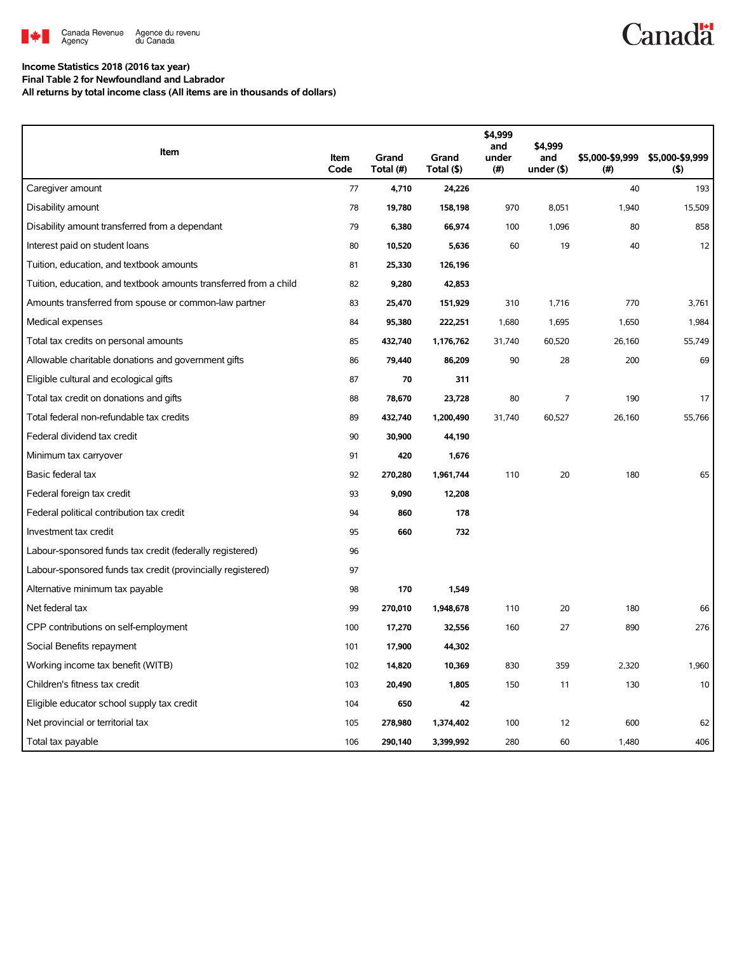

## **Income Statistics 2018 (2016 tax year)**

**Final Table 2 for Newfoundland and Labrador**

**All returns by total income class (All items are in thousands of dollars)**

| Item                                                              | Item | Grand     | Grand      | \$4,999<br>and<br>under | \$4,999<br>and | \$5,000-\$9,999 | \$5,000-\$9,999 |
|-------------------------------------------------------------------|------|-----------|------------|-------------------------|----------------|-----------------|-----------------|
|                                                                   | Code | Total (#) | Total (\$) | (# )                    | under $($ \$)  | $($ #)          | (5)             |
| Caregiver amount                                                  | 77   | 4,710     | 24,226     |                         |                | 40              | 193             |
| Disability amount                                                 | 78   | 19,780    | 158,198    | 970                     | 8,051          | 1,940           | 15,509          |
| Disability amount transferred from a dependant                    | 79   | 6,380     | 66,974     | 100                     | 1,096          | 80              | 858             |
| Interest paid on student loans                                    | 80   | 10,520    | 5,636      | 60                      | 19             | 40              | 12              |
| Tuition, education, and textbook amounts                          | 81   | 25,330    | 126,196    |                         |                |                 |                 |
| Tuition, education, and textbook amounts transferred from a child | 82   | 9,280     | 42,853     |                         |                |                 |                 |
| Amounts transferred from spouse or common-law partner             | 83   | 25,470    | 151,929    | 310                     | 1,716          | 770             | 3,761           |
| Medical expenses                                                  | 84   | 95,380    | 222,251    | 1,680                   | 1,695          | 1,650           | 1,984           |
| Total tax credits on personal amounts                             | 85   | 432,740   | 1,176,762  | 31,740                  | 60,520         | 26,160          | 55,749          |
| Allowable charitable donations and government gifts               | 86   | 79,440    | 86,209     | 90                      | 28             | 200             | 69              |
| Eligible cultural and ecological gifts                            | 87   | 70        | 311        |                         |                |                 |                 |
| Total tax credit on donations and gifts                           | 88   | 78,670    | 23,728     | 80                      | 7              | 190             | 17              |
| Total federal non-refundable tax credits                          | 89   | 432,740   | 1,200,490  | 31,740                  | 60,527         | 26,160          | 55,766          |
| Federal dividend tax credit                                       | 90   | 30,900    | 44,190     |                         |                |                 |                 |
| Minimum tax carryover                                             | 91   | 420       | 1,676      |                         |                |                 |                 |
| Basic federal tax                                                 | 92   | 270,280   | 1,961,744  | 110                     | 20             | 180             | 65              |
| Federal foreign tax credit                                        | 93   | 9,090     | 12,208     |                         |                |                 |                 |
| Federal political contribution tax credit                         | 94   | 860       | 178        |                         |                |                 |                 |
| Investment tax credit                                             | 95   | 660       | 732        |                         |                |                 |                 |
| Labour-sponsored funds tax credit (federally registered)          | 96   |           |            |                         |                |                 |                 |
| Labour-sponsored funds tax credit (provincially registered)       | 97   |           |            |                         |                |                 |                 |
| Alternative minimum tax payable                                   | 98   | 170       | 1,549      |                         |                |                 |                 |
| Net federal tax                                                   | 99   | 270,010   | 1,948,678  | 110                     | 20             | 180             | 66              |
| CPP contributions on self-employment                              | 100  | 17,270    | 32,556     | 160                     | 27             | 890             | 276             |
| Social Benefits repayment                                         | 101  | 17,900    | 44,302     |                         |                |                 |                 |
| Working income tax benefit (WITB)                                 | 102  | 14,820    | 10,369     | 830                     | 359            | 2,320           | 1,960           |
| Children's fitness tax credit                                     | 103  | 20,490    | 1,805      | 150                     | 11             | 130             | 10              |
| Eligible educator school supply tax credit                        | 104  | 650       | 42         |                         |                |                 |                 |
| Net provincial or territorial tax                                 | 105  | 278,980   | 1,374,402  | 100                     | 12             | 600             | 62              |
| Total tax payable                                                 | 106  | 290,140   | 3,399,992  | 280                     | 60             | 1,480           | 406             |

**Canadä**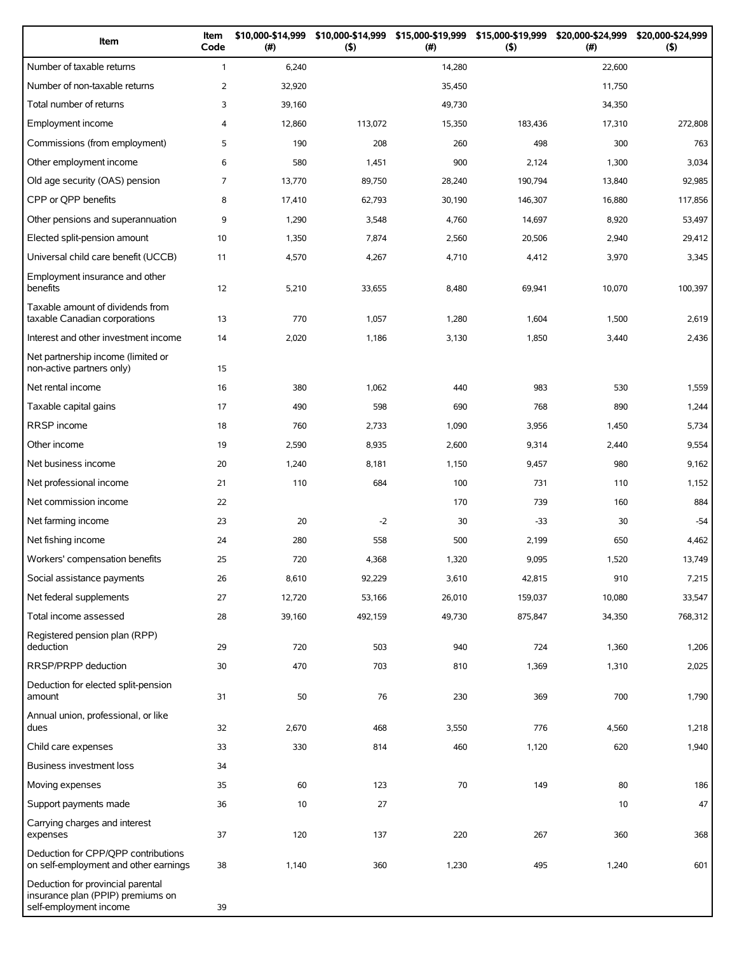| Item                                                                                             | Item<br>Code   | \$10,000-\$14,999<br>(#) | \$10,000-\$14,999<br>$($ \$) | \$15,000-\$19,999<br>(# ) | \$15,000-\$19,999<br>$($ \$) | \$20,000-\$24,999<br>(#) | \$20,000-\$24,999<br>(5) |
|--------------------------------------------------------------------------------------------------|----------------|--------------------------|------------------------------|---------------------------|------------------------------|--------------------------|--------------------------|
| Number of taxable returns                                                                        | $\mathbf{1}$   | 6,240                    |                              | 14,280                    |                              | 22,600                   |                          |
| Number of non-taxable returns                                                                    | $\overline{2}$ | 32,920                   |                              | 35,450                    |                              | 11,750                   |                          |
| Total number of returns                                                                          | 3              | 39,160                   |                              | 49,730                    |                              | 34,350                   |                          |
| Employment income                                                                                | 4              | 12,860                   | 113,072                      | 15,350                    | 183,436                      | 17,310                   | 272,808                  |
| Commissions (from employment)                                                                    | 5              | 190                      | 208                          | 260                       | 498                          | 300                      | 763                      |
| Other employment income                                                                          | 6              | 580                      | 1,451                        | 900                       | 2,124                        | 1,300                    | 3,034                    |
| Old age security (OAS) pension                                                                   | $\overline{7}$ | 13,770                   | 89.750                       | 28,240                    | 190,794                      | 13,840                   | 92,985                   |
| CPP or QPP benefits                                                                              | 8              | 17,410                   | 62,793                       | 30,190                    | 146,307                      | 16,880                   | 117,856                  |
| Other pensions and superannuation                                                                | 9              | 1,290                    | 3,548                        | 4,760                     | 14,697                       | 8,920                    | 53,497                   |
| Elected split-pension amount                                                                     | 10             | 1,350                    | 7,874                        | 2,560                     | 20,506                       | 2,940                    | 29,412                   |
| Universal child care benefit (UCCB)                                                              | 11             | 4,570                    | 4,267                        | 4,710                     | 4,412                        | 3,970                    | 3,345                    |
| Employment insurance and other<br>benefits                                                       | 12             | 5,210                    | 33,655                       | 8,480                     | 69,941                       | 10,070                   | 100,397                  |
| Taxable amount of dividends from<br>taxable Canadian corporations                                | 13             | 770                      | 1,057                        | 1,280                     | 1,604                        | 1,500                    | 2,619                    |
| Interest and other investment income                                                             | 14             | 2,020                    | 1,186                        | 3,130                     | 1,850                        | 3,440                    | 2,436                    |
| Net partnership income (limited or<br>non-active partners only)                                  | 15             |                          |                              |                           |                              |                          |                          |
| Net rental income                                                                                | 16             | 380                      | 1,062                        | 440                       | 983                          | 530                      | 1,559                    |
| Taxable capital gains                                                                            | 17             | 490                      | 598                          | 690                       | 768                          | 890                      | 1,244                    |
| <b>RRSP</b> income                                                                               | 18             | 760                      | 2,733                        | 1,090                     | 3,956                        | 1,450                    | 5,734                    |
| Other income                                                                                     | 19             | 2,590                    | 8,935                        | 2,600                     | 9,314                        | 2,440                    | 9,554                    |
| Net business income                                                                              | 20             | 1,240                    | 8,181                        | 1,150                     | 9,457                        | 980                      | 9,162                    |
| Net professional income                                                                          | 21             | 110                      | 684                          | 100                       | 731                          | 110                      | 1,152                    |
| Net commission income                                                                            | 22             |                          |                              | 170                       | 739                          | 160                      | 884                      |
| Net farming income                                                                               | 23             | 20                       | $-2$                         | 30                        | $-33$                        | 30                       | $-54$                    |
| Net fishing income                                                                               | 24             | 280                      | 558                          | 500                       | 2,199                        | 650                      | 4,462                    |
| Workers' compensation benefits                                                                   | 25             | 720                      | 4,368                        | 1,320                     | 9,095                        | 1,520                    | 13,749                   |
| Social assistance payments                                                                       | 26             | 8,610                    | 92,229                       | 3,610                     | 42,815                       | 910                      | 7,215                    |
| Net federal supplements                                                                          | 27             | 12,720                   | 53,166                       | 26,010                    | 159,037                      | 10,080                   | 33,547                   |
| Total income assessed                                                                            | 28             | 39,160                   | 492,159                      | 49,730                    | 875,847                      | 34,350                   | 768,312                  |
| Registered pension plan (RPP)<br>deduction                                                       | 29             | 720                      | 503                          | 940                       | 724                          | 1,360                    | 1,206                    |
| RRSP/PRPP deduction                                                                              | 30             | 470                      | 703                          | 810                       | 1,369                        | 1,310                    | 2,025                    |
| Deduction for elected split-pension<br>amount                                                    | 31             | 50                       | 76                           | 230                       | 369                          | 700                      | 1,790                    |
| Annual union, professional, or like<br>dues                                                      | 32             | 2,670                    | 468                          | 3,550                     | 776                          | 4,560                    | 1,218                    |
| Child care expenses                                                                              | 33             | 330                      | 814                          | 460                       | 1,120                        | 620                      | 1,940                    |
| Business investment loss                                                                         | 34             |                          |                              |                           |                              |                          |                          |
| Moving expenses                                                                                  | 35             | 60                       | 123                          | 70                        | 149                          | 80                       | 186                      |
| Support payments made                                                                            | 36             | 10                       | 27                           |                           |                              | 10                       | 47                       |
| Carrying charges and interest<br>expenses                                                        | 37             | 120                      | 137                          | 220                       | 267                          | 360                      | 368                      |
| Deduction for CPP/QPP contributions<br>on self-employment and other earnings                     | 38             | 1,140                    | 360                          | 1,230                     | 495                          | 1,240                    | 601                      |
| Deduction for provincial parental<br>insurance plan (PPIP) premiums on<br>self-employment income | 39             |                          |                              |                           |                              |                          |                          |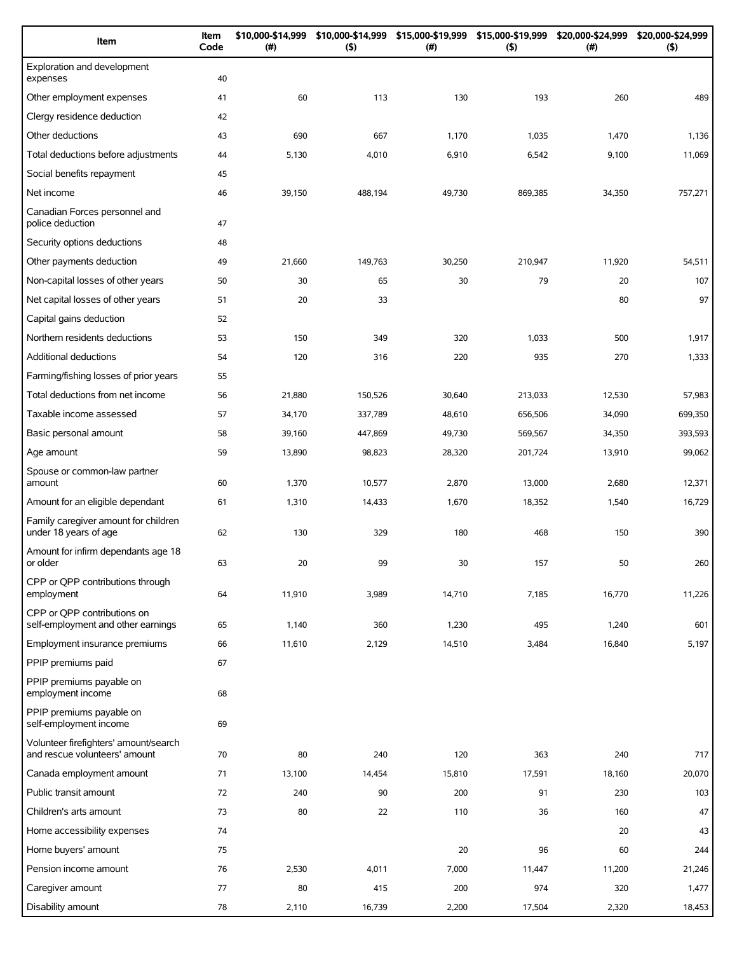| Item                                                                   | Item<br>Code | \$10,000-\$14,999<br>(#) | \$10,000-\$14,999<br>(5) | \$15,000-\$19,999<br>(# ) | \$15,000-\$19,999<br>(5) | \$20,000-\$24,999<br>$(\#)$ | \$20,000-\$24,999<br>(5) |
|------------------------------------------------------------------------|--------------|--------------------------|--------------------------|---------------------------|--------------------------|-----------------------------|--------------------------|
| Exploration and development<br>expenses                                | 40           |                          |                          |                           |                          |                             |                          |
| Other employment expenses                                              | 41           | 60                       | 113                      | 130                       | 193                      | 260                         | 489                      |
| Clergy residence deduction                                             | 42           |                          |                          |                           |                          |                             |                          |
| Other deductions                                                       | 43           | 690                      | 667                      | 1,170                     | 1,035                    | 1,470                       | 1,136                    |
| Total deductions before adjustments                                    | 44           | 5,130                    | 4,010                    | 6,910                     | 6,542                    | 9,100                       | 11,069                   |
| Social benefits repayment                                              | 45           |                          |                          |                           |                          |                             |                          |
| Net income                                                             | 46           | 39,150                   | 488,194                  | 49,730                    | 869,385                  | 34,350                      | 757,271                  |
| Canadian Forces personnel and<br>police deduction                      | 47           |                          |                          |                           |                          |                             |                          |
| Security options deductions                                            | 48           |                          |                          |                           |                          |                             |                          |
| Other payments deduction                                               | 49           | 21,660                   | 149,763                  | 30,250                    | 210,947                  | 11,920                      | 54,511                   |
| Non-capital losses of other years                                      | 50           | 30                       | 65                       | 30                        | 79                       | 20                          | 107                      |
| Net capital losses of other years                                      | 51           | 20                       | 33                       |                           |                          | 80                          | 97                       |
| Capital gains deduction                                                | 52           |                          |                          |                           |                          |                             |                          |
| Northern residents deductions                                          | 53           | 150                      | 349                      | 320                       | 1,033                    | 500                         | 1,917                    |
| Additional deductions                                                  | 54           | 120                      | 316                      | 220                       | 935                      | 270                         | 1,333                    |
| Farming/fishing losses of prior years                                  | 55           |                          |                          |                           |                          |                             |                          |
| Total deductions from net income                                       | 56           | 21,880                   | 150,526                  | 30,640                    | 213,033                  | 12,530                      | 57,983                   |
| Taxable income assessed                                                | 57           | 34,170                   | 337,789                  | 48,610                    | 656,506                  | 34,090                      | 699,350                  |
| Basic personal amount                                                  | 58           | 39,160                   | 447,869                  | 49,730                    | 569,567                  | 34,350                      | 393,593                  |
| Age amount                                                             | 59           | 13,890                   | 98,823                   | 28,320                    | 201,724                  | 13,910                      | 99,062                   |
| Spouse or common-law partner<br>amount                                 | 60           | 1,370                    | 10,577                   | 2,870                     | 13,000                   | 2,680                       | 12,371                   |
| Amount for an eligible dependant                                       | 61           | 1,310                    | 14,433                   | 1,670                     | 18,352                   | 1,540                       | 16,729                   |
| Family caregiver amount for children<br>under 18 years of age          | 62           | 130                      | 329                      | 180                       | 468                      | 150                         | 390                      |
| Amount for infirm dependants age 18<br>or older                        | 63           | 20                       | 99                       | 30                        | 157                      | 50                          | 260                      |
| CPP or QPP contributions through<br>employment                         | 64           | 11,910                   | 3,989                    | 14,710                    | 7,185                    | 16,770                      | 11,226                   |
| CPP or OPP contributions on<br>self-employment and other earnings      | 65           | 1,140                    | 360                      | 1,230                     | 495                      | 1,240                       | 601                      |
| Employment insurance premiums                                          | 66           | 11,610                   | 2,129                    | 14,510                    | 3,484                    | 16,840                      | 5,197                    |
| PPIP premiums paid                                                     | 67           |                          |                          |                           |                          |                             |                          |
| PPIP premiums payable on<br>employment income                          | 68           |                          |                          |                           |                          |                             |                          |
| PPIP premiums payable on<br>self-employment income                     | 69           |                          |                          |                           |                          |                             |                          |
| Volunteer firefighters' amount/search<br>and rescue volunteers' amount | 70           | 80                       | 240                      | 120                       | 363                      | 240                         | 717                      |
| Canada employment amount                                               | 71           | 13,100                   | 14,454                   | 15,810                    | 17,591                   | 18,160                      | 20,070                   |
| Public transit amount                                                  | 72           | 240                      | 90                       | 200                       | 91                       | 230                         | 103                      |
| Children's arts amount                                                 | 73           | 80                       | 22                       | 110                       | 36                       | 160                         | 47                       |
| Home accessibility expenses                                            | 74           |                          |                          |                           |                          | 20                          | 43                       |
| Home buyers' amount                                                    | 75           |                          |                          | 20                        | 96                       | 60                          | 244                      |
| Pension income amount                                                  | 76           | 2,530                    | 4,011                    | 7,000                     | 11,447                   | 11,200                      | 21,246                   |
| Caregiver amount                                                       | 77           | 80                       | 415                      | 200                       | 974                      | 320                         | 1,477                    |
| Disability amount                                                      | 78           | 2,110                    | 16,739                   | 2,200                     | 17,504                   | 2,320                       | 18,453                   |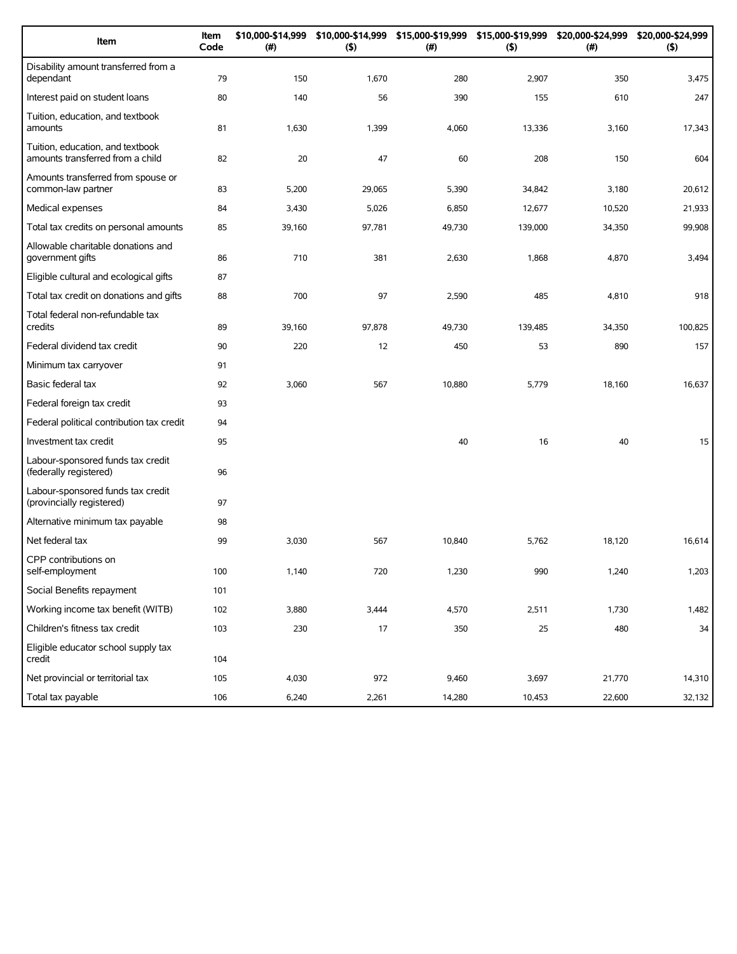| Item                                                                 | Item<br>Code | \$10,000-\$14,999<br>(#) | \$10,000-\$14,999<br>(5) | $(\#)$ | \$15,000-\$19,999 \$15,000-\$19,999 \$20,000-\$24,999<br>(5) | (#)    | \$20,000-\$24,999<br>(5) |
|----------------------------------------------------------------------|--------------|--------------------------|--------------------------|--------|--------------------------------------------------------------|--------|--------------------------|
| Disability amount transferred from a<br>dependant                    | 79           | 150                      | 1,670                    | 280    | 2,907                                                        | 350    | 3,475                    |
| Interest paid on student loans                                       | 80           | 140                      | 56                       | 390    | 155                                                          | 610    | 247                      |
| Tuition, education, and textbook<br>amounts                          | 81           | 1,630                    | 1,399                    | 4,060  | 13,336                                                       | 3,160  | 17,343                   |
| Tuition, education, and textbook<br>amounts transferred from a child | 82           | 20                       | 47                       | 60     | 208                                                          | 150    | 604                      |
| Amounts transferred from spouse or<br>common-law partner             | 83           | 5,200                    | 29,065                   | 5,390  | 34,842                                                       | 3,180  | 20,612                   |
| Medical expenses                                                     | 84           | 3,430                    | 5,026                    | 6,850  | 12,677                                                       | 10,520 | 21,933                   |
| Total tax credits on personal amounts                                | 85           | 39,160                   | 97,781                   | 49,730 | 139,000                                                      | 34,350 | 99,908                   |
| Allowable charitable donations and<br>government gifts               | 86           | 710                      | 381                      | 2,630  | 1,868                                                        | 4,870  | 3,494                    |
| Eligible cultural and ecological gifts                               | 87           |                          |                          |        |                                                              |        |                          |
| Total tax credit on donations and gifts                              | 88           | 700                      | 97                       | 2,590  | 485                                                          | 4,810  | 918                      |
| Total federal non-refundable tax<br>credits                          | 89           | 39,160                   | 97,878                   | 49,730 | 139,485                                                      | 34,350 | 100,825                  |
| Federal dividend tax credit                                          | 90           | 220                      | 12                       | 450    | 53                                                           | 890    | 157                      |
| Minimum tax carryover                                                | 91           |                          |                          |        |                                                              |        |                          |
| Basic federal tax                                                    | 92           | 3,060                    | 567                      | 10,880 | 5,779                                                        | 18,160 | 16,637                   |
| Federal foreign tax credit                                           | 93           |                          |                          |        |                                                              |        |                          |
| Federal political contribution tax credit                            | 94           |                          |                          |        |                                                              |        |                          |
| Investment tax credit                                                | 95           |                          |                          | 40     | 16                                                           | 40     | 15                       |
| Labour-sponsored funds tax credit<br>(federally registered)          | 96           |                          |                          |        |                                                              |        |                          |
| Labour-sponsored funds tax credit<br>(provincially registered)       | 97           |                          |                          |        |                                                              |        |                          |
| Alternative minimum tax payable                                      | 98           |                          |                          |        |                                                              |        |                          |
| Net federal tax                                                      | 99           | 3,030                    | 567                      | 10,840 | 5,762                                                        | 18,120 | 16,614                   |
| CPP contributions on<br>self-employment                              | 100          | 1,140                    | 720                      | 1,230  | 990                                                          | 1,240  | 1,203                    |
| Social Benefits repayment                                            | 101          |                          |                          |        |                                                              |        |                          |
| Working income tax benefit (WITB)                                    | 102          | 3,880                    | 3,444                    | 4,570  | 2,511                                                        | 1,730  | 1,482                    |
| Children's fitness tax credit                                        | 103          | 230                      | 17                       | 350    | 25                                                           | 480    | 34                       |
| Eligible educator school supply tax<br>credit                        | 104          |                          |                          |        |                                                              |        |                          |
| Net provincial or territorial tax                                    | 105          | 4,030                    | 972                      | 9,460  | 3,697                                                        | 21,770 | 14,310                   |
| Total tax payable                                                    | 106          | 6,240                    | 2,261                    | 14,280 | 10,453                                                       | 22,600 | 32,132                   |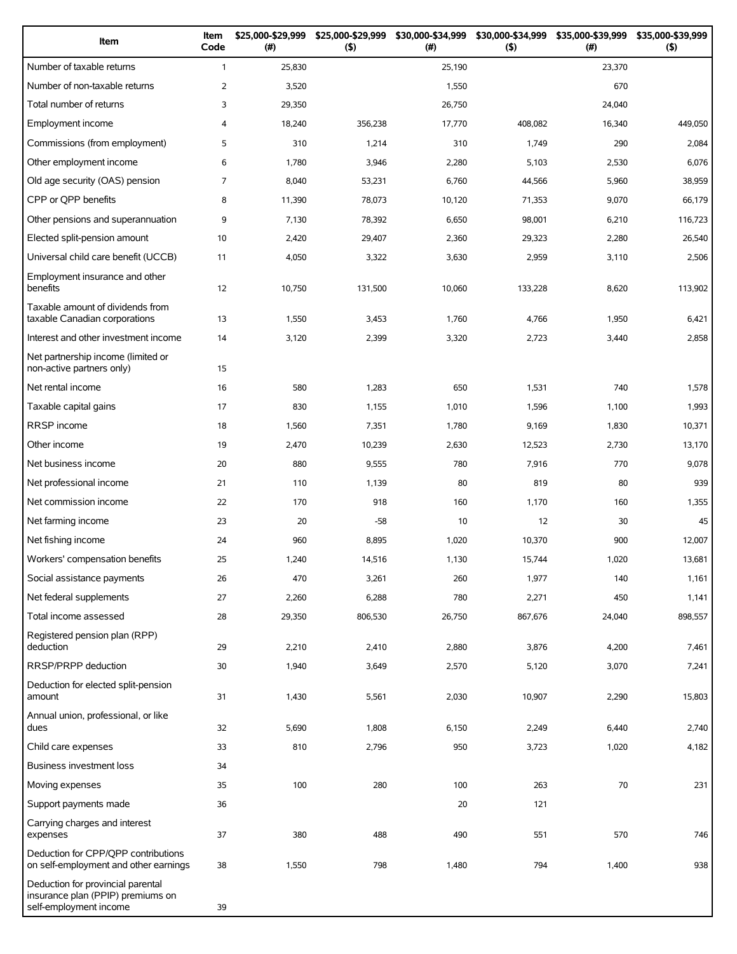| Item                                                                                             | Item<br>Code   | \$25,000-\$29,999<br>(#) | \$25,000-\$29,999<br>(5) | \$30,000-\$34,999<br>(# ) | \$30,000-\$34,999<br>(5) | \$35,000-\$39,999<br>(# ) | \$35,000-\$39,999<br>(5) |
|--------------------------------------------------------------------------------------------------|----------------|--------------------------|--------------------------|---------------------------|--------------------------|---------------------------|--------------------------|
| Number of taxable returns                                                                        | $\mathbf{1}$   | 25,830                   |                          | 25,190                    |                          | 23,370                    |                          |
| Number of non-taxable returns                                                                    | $\overline{2}$ | 3,520                    |                          | 1,550                     |                          | 670                       |                          |
| Total number of returns                                                                          | 3              | 29,350                   |                          | 26,750                    |                          | 24,040                    |                          |
| Employment income                                                                                | 4              | 18,240                   | 356,238                  | 17,770                    | 408,082                  | 16,340                    | 449,050                  |
| Commissions (from employment)                                                                    | 5              | 310                      | 1,214                    | 310                       | 1,749                    | 290                       | 2,084                    |
| Other employment income                                                                          | 6              | 1,780                    | 3,946                    | 2,280                     | 5,103                    | 2,530                     | 6,076                    |
| Old age security (OAS) pension                                                                   | $\overline{7}$ | 8,040                    | 53,231                   | 6,760                     | 44,566                   | 5,960                     | 38,959                   |
| CPP or QPP benefits                                                                              | 8              | 11,390                   | 78,073                   | 10,120                    | 71,353                   | 9,070                     | 66,179                   |
| Other pensions and superannuation                                                                | 9              | 7,130                    | 78,392                   | 6,650                     | 98,001                   | 6,210                     | 116,723                  |
| Elected split-pension amount                                                                     | 10             | 2,420                    | 29,407                   | 2,360                     | 29,323                   | 2,280                     | 26,540                   |
| Universal child care benefit (UCCB)                                                              | 11             | 4,050                    | 3,322                    | 3,630                     | 2,959                    | 3,110                     | 2,506                    |
| Employment insurance and other<br>benefits                                                       | 12             | 10,750                   | 131,500                  | 10,060                    | 133,228                  | 8,620                     | 113,902                  |
| Taxable amount of dividends from<br>taxable Canadian corporations                                | 13             | 1,550                    | 3,453                    | 1,760                     | 4,766                    | 1,950                     | 6,421                    |
| Interest and other investment income                                                             | 14             | 3,120                    | 2,399                    | 3,320                     | 2,723                    | 3,440                     | 2,858                    |
| Net partnership income (limited or<br>non-active partners only)                                  | 15             |                          |                          |                           |                          |                           |                          |
| Net rental income                                                                                | 16             | 580                      | 1,283                    | 650                       | 1,531                    | 740                       | 1,578                    |
| Taxable capital gains                                                                            | 17             | 830                      | 1,155                    | 1,010                     | 1,596                    | 1,100                     | 1,993                    |
| RRSP income                                                                                      | 18             | 1,560                    | 7,351                    | 1,780                     | 9,169                    | 1,830                     | 10,371                   |
| Other income                                                                                     | 19             | 2,470                    | 10,239                   | 2,630                     | 12,523                   | 2,730                     | 13,170                   |
| Net business income                                                                              | 20             | 880                      | 9,555                    | 780                       | 7,916                    | 770                       | 9,078                    |
| Net professional income                                                                          | 21             | 110                      | 1,139                    | 80                        | 819                      | 80                        | 939                      |
| Net commission income                                                                            | 22             | 170                      | 918                      | 160                       | 1,170                    | 160                       | 1,355                    |
| Net farming income                                                                               | 23             | 20                       | $-58$                    | 10                        | 12                       | 30                        | 45                       |
| Net fishing income                                                                               | 24             | 960                      | 8,895                    | 1,020                     | 10,370                   | 900                       | 12,007                   |
| Workers' compensation benefits                                                                   | 25             | 1,240                    | 14,516                   | 1,130                     | 15,744                   | 1,020                     | 13,681                   |
| Social assistance payments                                                                       | 26             | 470                      | 3,261                    | 260                       | 1,977                    | 140                       | 1,161                    |
| Net federal supplements                                                                          | 27             | 2,260                    | 6,288                    | 780                       | 2,271                    | 450                       | 1,141                    |
| Total income assessed                                                                            | 28             | 29,350                   | 806,530                  | 26,750                    | 867,676                  | 24,040                    | 898,557                  |
| Registered pension plan (RPP)<br>deduction                                                       | 29             | 2,210                    | 2,410                    | 2,880                     | 3,876                    | 4,200                     | 7,461                    |
| RRSP/PRPP deduction                                                                              | 30             | 1,940                    | 3,649                    | 2,570                     | 5,120                    | 3,070                     | 7,241                    |
| Deduction for elected split-pension<br>amount                                                    | 31             | 1,430                    | 5,561                    | 2,030                     | 10,907                   | 2,290                     | 15,803                   |
| Annual union, professional, or like<br>dues                                                      | 32             | 5,690                    | 1,808                    | 6,150                     | 2,249                    | 6,440                     | 2,740                    |
| Child care expenses                                                                              | 33             | 810                      | 2,796                    | 950                       | 3,723                    | 1,020                     | 4,182                    |
| Business investment loss                                                                         | 34             |                          |                          |                           |                          |                           |                          |
| Moving expenses                                                                                  | 35             | 100                      | 280                      | 100                       | 263                      | 70                        | 231                      |
| Support payments made                                                                            | 36             |                          |                          | 20                        | 121                      |                           |                          |
| Carrying charges and interest<br>expenses                                                        | 37             | 380                      | 488                      | 490                       | 551                      | 570                       | 746                      |
| Deduction for CPP/QPP contributions<br>on self-employment and other earnings                     | 38             | 1,550                    | 798                      | 1,480                     | 794                      | 1,400                     | 938                      |
| Deduction for provincial parental<br>insurance plan (PPIP) premiums on<br>self-employment income | 39             |                          |                          |                           |                          |                           |                          |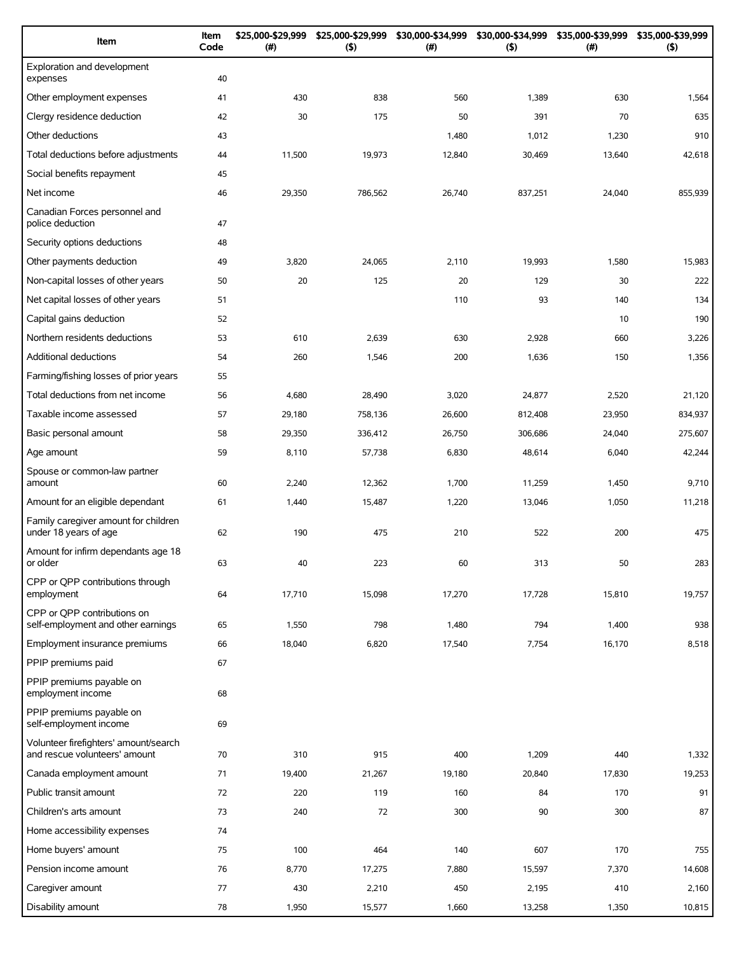| Item                                                                   | Item<br>Code | \$25,000-\$29,999<br>(#) | \$25,000-\$29,999<br>(5) | \$30,000-\$34,999<br>(#) | \$30,000-\$34,999<br>(5) | \$35,000-\$39,999<br>$(\#)$ | \$35,000-\$39,999<br>(5) |
|------------------------------------------------------------------------|--------------|--------------------------|--------------------------|--------------------------|--------------------------|-----------------------------|--------------------------|
| Exploration and development<br>expenses                                | 40           |                          |                          |                          |                          |                             |                          |
| Other employment expenses                                              | 41           | 430                      | 838                      | 560                      | 1,389                    | 630                         | 1,564                    |
| Clergy residence deduction                                             | 42           | 30                       | 175                      | 50                       | 391                      | 70                          | 635                      |
| Other deductions                                                       | 43           |                          |                          | 1,480                    | 1,012                    | 1,230                       | 910                      |
| Total deductions before adjustments                                    | 44           | 11,500                   | 19,973                   | 12,840                   | 30,469                   | 13,640                      | 42,618                   |
| Social benefits repayment                                              | 45           |                          |                          |                          |                          |                             |                          |
| Net income                                                             | 46           | 29,350                   | 786,562                  | 26,740                   | 837,251                  | 24,040                      | 855,939                  |
| Canadian Forces personnel and<br>police deduction                      | 47           |                          |                          |                          |                          |                             |                          |
| Security options deductions                                            | 48           |                          |                          |                          |                          |                             |                          |
| Other payments deduction                                               | 49           | 3,820                    | 24,065                   | 2,110                    | 19,993                   | 1,580                       | 15,983                   |
| Non-capital losses of other years                                      | 50           | 20                       | 125                      | 20                       | 129                      | 30                          | 222                      |
| Net capital losses of other years                                      | 51           |                          |                          | 110                      | 93                       | 140                         | 134                      |
| Capital gains deduction                                                | 52           |                          |                          |                          |                          | 10                          | 190                      |
| Northern residents deductions                                          | 53           | 610                      | 2,639                    | 630                      | 2,928                    | 660                         | 3,226                    |
| Additional deductions                                                  | 54           | 260                      | 1,546                    | 200                      | 1,636                    | 150                         | 1,356                    |
| Farming/fishing losses of prior years                                  | 55           |                          |                          |                          |                          |                             |                          |
| Total deductions from net income                                       | 56           | 4,680                    | 28,490                   | 3,020                    | 24,877                   | 2,520                       | 21,120                   |
| Taxable income assessed                                                | 57           | 29,180                   | 758,136                  | 26,600                   | 812,408                  | 23,950                      | 834,937                  |
| Basic personal amount                                                  | 58           | 29,350                   | 336,412                  | 26,750                   | 306,686                  | 24,040                      | 275,607                  |
| Age amount                                                             | 59           | 8,110                    | 57,738                   | 6,830                    | 48,614                   | 6,040                       | 42,244                   |
| Spouse or common-law partner<br>amount                                 | 60           | 2,240                    | 12,362                   | 1,700                    | 11,259                   | 1,450                       | 9,710                    |
| Amount for an eligible dependant                                       | 61           | 1,440                    | 15,487                   | 1,220                    | 13,046                   | 1,050                       | 11,218                   |
| Family caregiver amount for children<br>under 18 years of age          | 62           | 190                      | 475                      | 210                      | 522                      | 200                         | 475                      |
| Amount for infirm dependants age 18<br>or older                        | 63           | 40                       | 223                      | 60                       | 313                      | 50                          | 283                      |
| CPP or QPP contributions through<br>employment                         | 64           | 17,710                   | 15,098                   | 17,270                   | 17,728                   | 15,810                      | 19,757                   |
| CPP or OPP contributions on<br>self-employment and other earnings      | 65           | 1,550                    | 798                      | 1,480                    | 794                      | 1,400                       | 938                      |
| Employment insurance premiums                                          | 66           | 18,040                   | 6,820                    | 17,540                   | 7,754                    | 16,170                      | 8,518                    |
| PPIP premiums paid                                                     | 67           |                          |                          |                          |                          |                             |                          |
| PPIP premiums payable on<br>employment income                          | 68           |                          |                          |                          |                          |                             |                          |
| PPIP premiums payable on<br>self-employment income                     | 69           |                          |                          |                          |                          |                             |                          |
| Volunteer firefighters' amount/search<br>and rescue volunteers' amount | 70           | 310                      | 915                      | 400                      | 1,209                    | 440                         | 1,332                    |
| Canada employment amount                                               | 71           | 19,400                   | 21,267                   | 19,180                   | 20,840                   | 17,830                      | 19,253                   |
| Public transit amount                                                  | 72           | 220                      | 119                      | 160                      | 84                       | 170                         | 91                       |
| Children's arts amount                                                 | 73           | 240                      | 72                       | 300                      | 90                       | 300                         | 87                       |
| Home accessibility expenses                                            | 74           |                          |                          |                          |                          |                             |                          |
| Home buyers' amount                                                    | 75           | 100                      | 464                      | 140                      | 607                      | 170                         | 755                      |
| Pension income amount                                                  | 76           | 8,770                    | 17,275                   | 7,880                    | 15,597                   | 7,370                       | 14,608                   |
| Caregiver amount                                                       | 77           | 430                      | 2,210                    | 450                      | 2,195                    | 410                         | 2,160                    |
| Disability amount                                                      | 78           | 1,950                    | 15,577                   | 1,660                    | 13,258                   | 1,350                       | 10,815                   |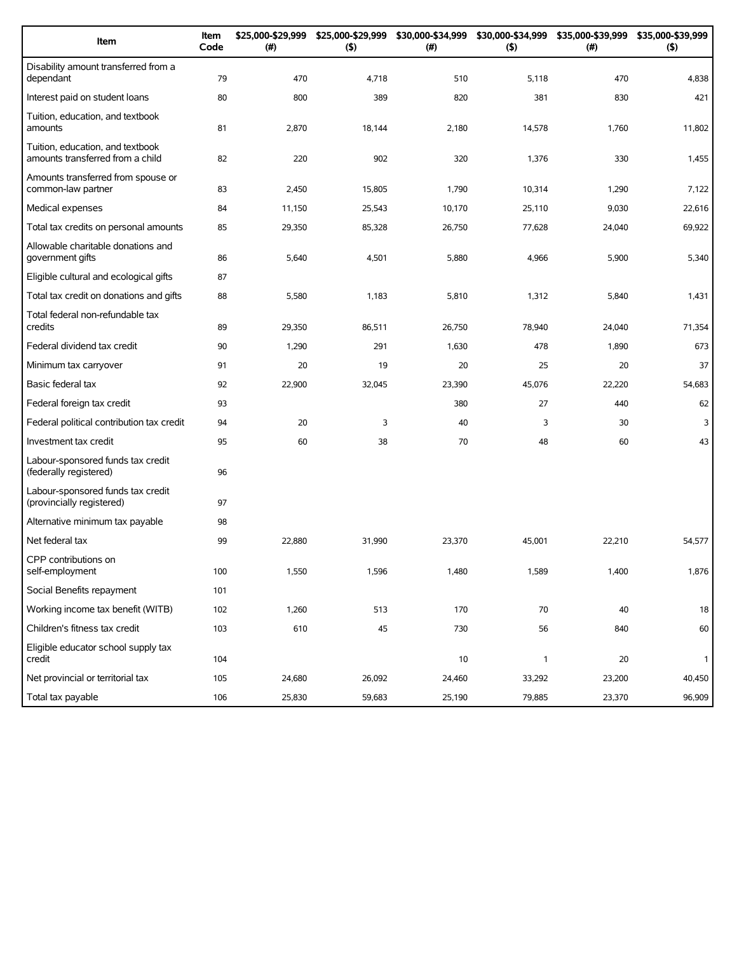| Item                                                                 | Item<br>Code | \$25,000-\$29,999<br>(#) | \$25,000-\$29,999<br>(5) | \$30,000-\$34,999<br>(# ) | \$30,000-\$34,999<br>(5) | \$35,000-\$39,999<br>(#) | \$35,000-\$39,999<br>(5) |
|----------------------------------------------------------------------|--------------|--------------------------|--------------------------|---------------------------|--------------------------|--------------------------|--------------------------|
| Disability amount transferred from a<br>dependant                    | 79           | 470                      | 4,718                    | 510                       | 5,118                    | 470                      | 4,838                    |
| Interest paid on student loans                                       | 80           | 800                      | 389                      | 820                       | 381                      | 830                      | 421                      |
| Tuition, education, and textbook<br>amounts                          | 81           | 2,870                    | 18,144                   | 2,180                     | 14,578                   | 1,760                    | 11,802                   |
| Tuition, education, and textbook<br>amounts transferred from a child | 82           | 220                      | 902                      | 320                       | 1,376                    | 330                      | 1,455                    |
| Amounts transferred from spouse or<br>common-law partner             | 83           | 2,450                    | 15.805                   | 1,790                     | 10,314                   | 1,290                    | 7,122                    |
| Medical expenses                                                     | 84           | 11,150                   | 25,543                   | 10,170                    | 25,110                   | 9,030                    | 22,616                   |
| Total tax credits on personal amounts                                | 85           | 29,350                   | 85,328                   | 26,750                    | 77,628                   | 24,040                   | 69,922                   |
| Allowable charitable donations and<br>government gifts               | 86           | 5,640                    | 4,501                    | 5,880                     | 4,966                    | 5,900                    | 5,340                    |
| Eligible cultural and ecological gifts                               | 87           |                          |                          |                           |                          |                          |                          |
| Total tax credit on donations and gifts                              | 88           | 5,580                    | 1,183                    | 5,810                     | 1,312                    | 5,840                    | 1,431                    |
| Total federal non-refundable tax<br>credits                          | 89           | 29,350                   | 86,511                   | 26,750                    | 78,940                   | 24,040                   | 71,354                   |
| Federal dividend tax credit                                          | 90           | 1,290                    | 291                      | 1,630                     | 478                      | 1,890                    | 673                      |
| Minimum tax carryover                                                | 91           | 20                       | 19                       | 20                        | 25                       | 20                       | 37                       |
| Basic federal tax                                                    | 92           | 22,900                   | 32,045                   | 23,390                    | 45,076                   | 22,220                   | 54,683                   |
| Federal foreign tax credit                                           | 93           |                          |                          | 380                       | 27                       | 440                      | 62                       |
| Federal political contribution tax credit                            | 94           | 20                       | 3                        | 40                        | 3                        | 30                       | 3                        |
| Investment tax credit                                                | 95           | 60                       | 38                       | 70                        | 48                       | 60                       | 43                       |
| Labour-sponsored funds tax credit<br>(federally registered)          | 96           |                          |                          |                           |                          |                          |                          |
| Labour-sponsored funds tax credit<br>(provincially registered)       | 97           |                          |                          |                           |                          |                          |                          |
| Alternative minimum tax payable                                      | 98           |                          |                          |                           |                          |                          |                          |
| Net federal tax                                                      | 99           | 22,880                   | 31,990                   | 23,370                    | 45,001                   | 22,210                   | 54,577                   |
| CPP contributions on<br>self-employment                              | 100          | 1,550                    | 1,596                    | 1,480                     | 1,589                    | 1,400                    | 1,876                    |
| Social Benefits repayment                                            | 101          |                          |                          |                           |                          |                          |                          |
| Working income tax benefit (WITB)                                    | 102          | 1,260                    | 513                      | 170                       | 70                       | 40                       | 18                       |
| Children's fitness tax credit                                        | 103          | 610                      | 45                       | 730                       | 56                       | 840                      | 60                       |
| Eligible educator school supply tax<br>credit                        | 104          |                          |                          | $10$                      | $\mathbf{1}$             | 20                       | 1                        |
| Net provincial or territorial tax                                    | 105          | 24,680                   | 26,092                   | 24,460                    | 33,292                   | 23,200                   | 40,450                   |
| Total tax payable                                                    | 106          | 25,830                   | 59,683                   | 25,190                    | 79,885                   | 23,370                   | 96,909                   |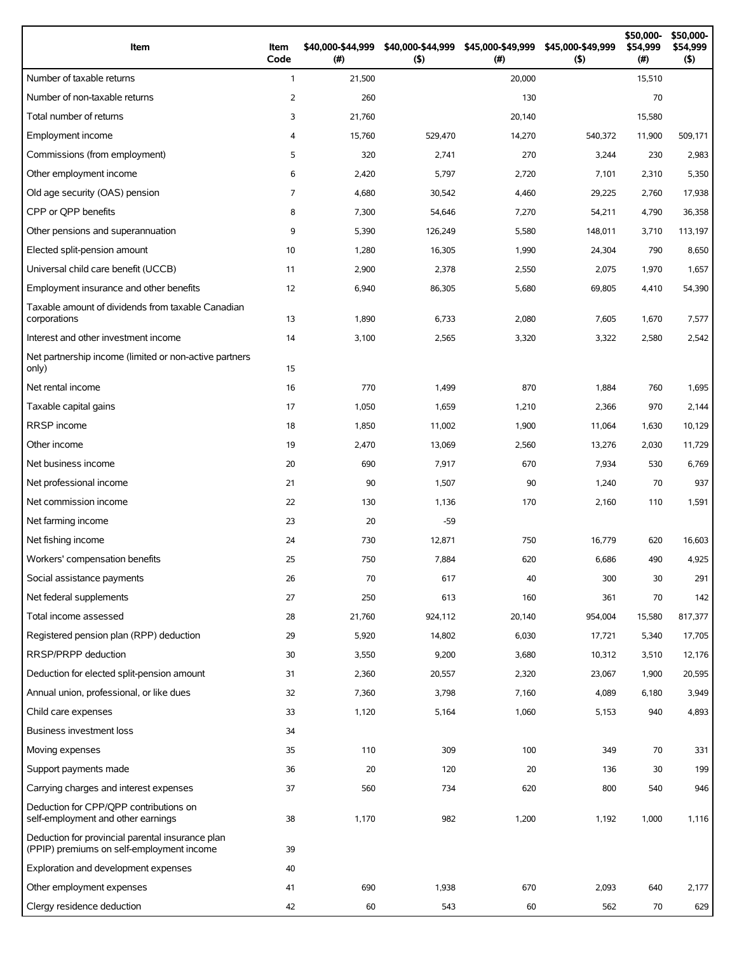| Item                                                                                          | Item<br>Code   | \$40,000-\$44,999<br>(#) | (5)     | \$40,000-\$44,999 \$45,000-\$49,999<br>$(\#)$ | \$45,000-\$49,999<br>(5) | \$50,000-<br>\$54,999<br>(# ) | \$50,000-<br>\$54,999<br>(5) |
|-----------------------------------------------------------------------------------------------|----------------|--------------------------|---------|-----------------------------------------------|--------------------------|-------------------------------|------------------------------|
| Number of taxable returns                                                                     | $\mathbf{1}$   | 21,500                   |         | 20,000                                        |                          | 15,510                        |                              |
| Number of non-taxable returns                                                                 | 2              | 260                      |         | 130                                           |                          | 70                            |                              |
| Total number of returns                                                                       | 3              | 21,760                   |         | 20,140                                        |                          | 15,580                        |                              |
| Employment income                                                                             | $\overline{4}$ | 15,760                   | 529,470 | 14,270                                        | 540,372                  | 11,900                        | 509,171                      |
| Commissions (from employment)                                                                 | 5              | 320                      | 2,741   | 270                                           | 3,244                    | 230                           | 2,983                        |
| Other employment income                                                                       | 6              | 2,420                    | 5,797   | 2,720                                         | 7,101                    | 2,310                         | 5,350                        |
| Old age security (OAS) pension                                                                | $\overline{7}$ | 4,680                    | 30,542  | 4,460                                         | 29,225                   | 2,760                         | 17,938                       |
| CPP or OPP benefits                                                                           | 8              | 7,300                    | 54,646  | 7,270                                         | 54,211                   | 4,790                         | 36,358                       |
| Other pensions and superannuation                                                             | 9              | 5,390                    | 126,249 | 5,580                                         | 148,011                  | 3,710                         | 113,197                      |
| Elected split-pension amount                                                                  | 10             | 1,280                    | 16,305  | 1,990                                         | 24,304                   | 790                           | 8,650                        |
| Universal child care benefit (UCCB)                                                           | 11             | 2,900                    | 2,378   | 2,550                                         | 2,075                    | 1,970                         | 1,657                        |
| Employment insurance and other benefits                                                       | 12             | 6,940                    | 86,305  | 5,680                                         | 69,805                   | 4,410                         | 54,390                       |
| Taxable amount of dividends from taxable Canadian<br>corporations                             | 13             | 1,890                    | 6,733   | 2,080                                         | 7,605                    | 1,670                         | 7,577                        |
| Interest and other investment income                                                          | 14             | 3,100                    | 2,565   | 3,320                                         | 3,322                    | 2,580                         | 2,542                        |
| Net partnership income (limited or non-active partners<br>only)                               | 15             |                          |         |                                               |                          |                               |                              |
| Net rental income                                                                             | 16             | 770                      | 1,499   | 870                                           | 1,884                    | 760                           | 1,695                        |
| Taxable capital gains                                                                         | 17             | 1,050                    | 1,659   | 1,210                                         | 2,366                    | 970                           | 2,144                        |
| <b>RRSP</b> income                                                                            | 18             | 1,850                    | 11,002  | 1,900                                         | 11,064                   | 1,630                         | 10,129                       |
| Other income                                                                                  | 19             | 2,470                    | 13,069  | 2,560                                         | 13,276                   | 2,030                         | 11,729                       |
| Net business income                                                                           | 20             | 690                      | 7,917   | 670                                           | 7,934                    | 530                           | 6,769                        |
| Net professional income                                                                       | 21             | 90                       | 1,507   | 90                                            | 1,240                    | 70                            | 937                          |
| Net commission income                                                                         | 22             | 130                      | 1,136   | 170                                           | 2,160                    | 110                           | 1,591                        |
| Net farming income                                                                            | 23             | 20                       | $-59$   |                                               |                          |                               |                              |
| Net fishing income                                                                            | 24             | 730                      | 12,871  | 750                                           | 16,779                   | 620                           | 16,603                       |
| Workers' compensation benefits                                                                | 25             | 750                      | 7,884   | 620                                           | 6,686                    | 490                           | 4,925                        |
| Social assistance payments                                                                    | 26             | 70                       | 617     | 40                                            | 300                      | 30                            | 291                          |
| Net federal supplements                                                                       | 27             | 250                      | 613     | 160                                           | 361                      | 70                            | 142                          |
| Total income assessed                                                                         | 28             | 21,760                   | 924,112 | 20,140                                        | 954,004                  | 15,580                        | 817,377                      |
| Registered pension plan (RPP) deduction                                                       | 29             | 5,920                    | 14,802  | 6,030                                         | 17,721                   | 5,340                         | 17,705                       |
| RRSP/PRPP deduction                                                                           | 30             | 3,550                    | 9,200   | 3,680                                         | 10,312                   | 3,510                         | 12,176                       |
| Deduction for elected split-pension amount                                                    | 31             | 2,360                    | 20,557  | 2,320                                         | 23,067                   | 1,900                         | 20,595                       |
| Annual union, professional, or like dues                                                      | 32             | 7,360                    | 3,798   | 7,160                                         | 4,089                    | 6,180                         | 3,949                        |
| Child care expenses                                                                           | 33             | 1,120                    | 5,164   | 1,060                                         | 5,153                    | 940                           | 4,893                        |
| <b>Business investment loss</b>                                                               | 34             |                          |         |                                               |                          |                               |                              |
| Moving expenses                                                                               | 35             | 110                      | 309     | 100                                           | 349                      | 70                            | 331                          |
| Support payments made                                                                         | 36             | 20                       | 120     | 20                                            | 136                      | 30                            | 199                          |
| Carrying charges and interest expenses                                                        | 37             | 560                      | 734     | 620                                           | 800                      | 540                           | 946                          |
| Deduction for CPP/QPP contributions on<br>self-employment and other earnings                  | 38             | 1,170                    | 982     | 1,200                                         | 1,192                    | 1,000                         | 1,116                        |
| Deduction for provincial parental insurance plan<br>(PPIP) premiums on self-employment income | 39             |                          |         |                                               |                          |                               |                              |
| Exploration and development expenses                                                          | 40             |                          |         |                                               |                          |                               |                              |
| Other employment expenses                                                                     | 41             | 690                      | 1,938   | 670                                           | 2,093                    | 640                           | 2,177                        |
| Clergy residence deduction                                                                    | 42             | 60                       | 543     | 60                                            | 562                      | 70                            | 629                          |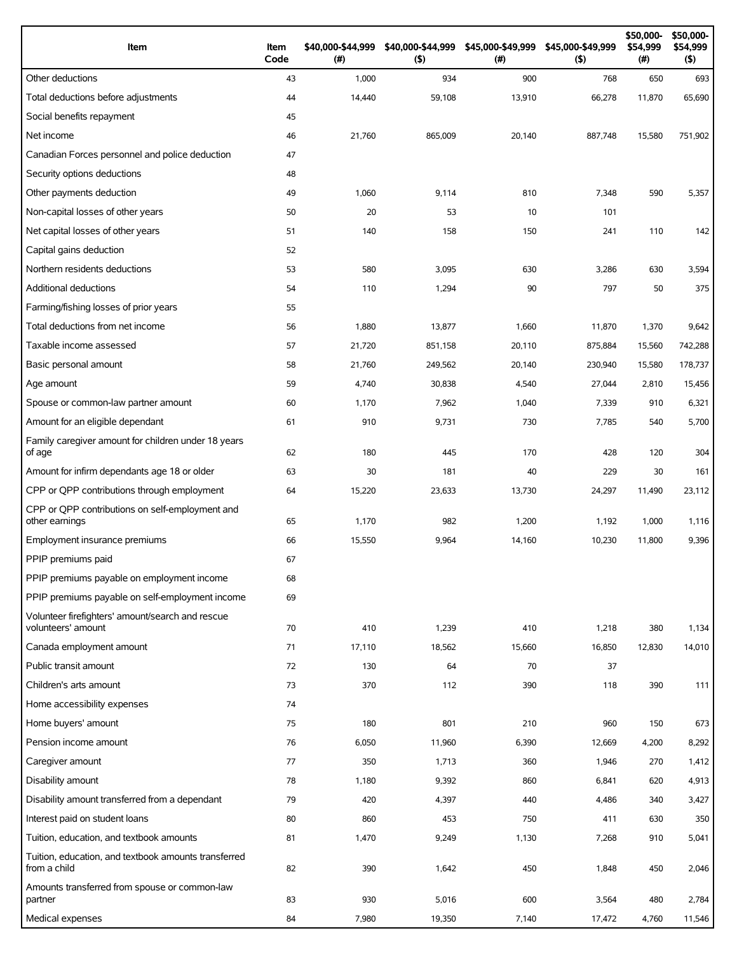| Item                                                                 | Item<br>Code | \$40,000-\$44,999<br>(#) | \$40,000-\$44,999<br>(5) | \$45,000-\$49,999<br>(# ) | \$45,000-\$49,999<br>(5) | \$50,000-<br>\$54,999<br>$(\#)$ | \$50,000-<br>\$54,999<br>$($ \$) |
|----------------------------------------------------------------------|--------------|--------------------------|--------------------------|---------------------------|--------------------------|---------------------------------|----------------------------------|
| Other deductions                                                     | 43           | 1,000                    | 934                      | 900                       | 768                      | 650                             | 693                              |
| Total deductions before adjustments                                  | 44           | 14,440                   | 59,108                   | 13,910                    | 66,278                   | 11,870                          | 65,690                           |
| Social benefits repayment                                            | 45           |                          |                          |                           |                          |                                 |                                  |
| Net income                                                           | 46           | 21,760                   | 865,009                  | 20,140                    | 887,748                  | 15,580                          | 751,902                          |
| Canadian Forces personnel and police deduction                       | 47           |                          |                          |                           |                          |                                 |                                  |
| Security options deductions                                          | 48           |                          |                          |                           |                          |                                 |                                  |
| Other payments deduction                                             | 49           | 1,060                    | 9,114                    | 810                       | 7,348                    | 590                             | 5,357                            |
| Non-capital losses of other years                                    | 50           | 20                       | 53                       | 10                        | 101                      |                                 |                                  |
| Net capital losses of other years                                    | 51           | 140                      | 158                      | 150                       | 241                      | 110                             | 142                              |
| Capital gains deduction                                              | 52           |                          |                          |                           |                          |                                 |                                  |
| Northern residents deductions                                        | 53           | 580                      | 3,095                    | 630                       | 3,286                    | 630                             | 3,594                            |
| Additional deductions                                                | 54           | 110                      | 1,294                    | 90                        | 797                      | 50                              | 375                              |
| Farming/fishing losses of prior years                                | 55           |                          |                          |                           |                          |                                 |                                  |
| Total deductions from net income                                     | 56           | 1,880                    | 13,877                   | 1,660                     | 11,870                   | 1,370                           | 9,642                            |
| Taxable income assessed                                              | 57           | 21,720                   | 851,158                  | 20,110                    | 875,884                  | 15,560                          | 742,288                          |
| Basic personal amount                                                | 58           | 21,760                   | 249,562                  | 20,140                    | 230,940                  | 15,580                          | 178,737                          |
| Age amount                                                           | 59           | 4,740                    | 30,838                   | 4,540                     | 27,044                   | 2,810                           | 15,456                           |
| Spouse or common-law partner amount                                  | 60           | 1,170                    | 7,962                    | 1,040                     | 7,339                    | 910                             | 6,321                            |
| Amount for an eligible dependant                                     | 61           | 910                      | 9,731                    | 730                       | 7,785                    | 540                             | 5,700                            |
| Family caregiver amount for children under 18 years<br>of age        | 62           | 180                      | 445                      | 170                       | 428                      | 120                             | 304                              |
| Amount for infirm dependants age 18 or older                         | 63           | 30                       | 181                      | 40                        | 229                      | 30                              | 161                              |
| CPP or QPP contributions through employment                          | 64           | 15,220                   | 23,633                   | 13,730                    | 24,297                   | 11,490                          | 23,112                           |
| CPP or OPP contributions on self-employment and<br>other earnings    | 65           | 1,170                    | 982                      | 1,200                     | 1,192                    | 1,000                           | 1,116                            |
| Employment insurance premiums                                        | 66           | 15,550                   | 9,964                    | 14,160                    | 10,230                   | 11,800                          | 9,396                            |
| PPIP premiums paid                                                   | 67           |                          |                          |                           |                          |                                 |                                  |
| PPIP premiums payable on employment income                           | 68           |                          |                          |                           |                          |                                 |                                  |
| PPIP premiums payable on self-employment income                      | 69           |                          |                          |                           |                          |                                 |                                  |
| Volunteer firefighters' amount/search and rescue                     |              |                          |                          |                           |                          |                                 |                                  |
| volunteers' amount                                                   | 70           | 410                      | 1,239                    | 410                       | 1,218                    | 380                             | 1,134                            |
| Canada employment amount                                             | 71           | 17,110                   | 18,562                   | 15,660                    | 16,850                   | 12,830                          | 14,010                           |
| Public transit amount                                                | 72           | 130                      | 64                       | 70                        | 37                       |                                 |                                  |
| Children's arts amount                                               | 73           | 370                      | 112                      | 390                       | 118                      | 390                             | 111                              |
| Home accessibility expenses                                          | 74           |                          |                          |                           |                          |                                 |                                  |
| Home buyers' amount                                                  | 75           | 180                      | 801                      | 210                       | 960                      | 150                             | 673                              |
| Pension income amount                                                | 76           | 6,050                    | 11,960                   | 6,390                     | 12,669                   | 4,200                           | 8,292                            |
| Caregiver amount                                                     | 77           | 350                      | 1,713                    | 360                       | 1,946                    | 270                             | 1,412                            |
| Disability amount                                                    | 78           | 1,180                    | 9,392                    | 860                       | 6,841                    | 620                             | 4,913                            |
| Disability amount transferred from a dependant                       | 79           | 420                      | 4,397                    | 440                       | 4,486                    | 340                             | 3,427                            |
| Interest paid on student loans                                       | 80           | 860                      | 453                      | 750                       | 411                      | 630                             | 350                              |
| Tuition, education, and textbook amounts                             | 81           | 1,470                    | 9,249                    | 1,130                     | 7,268                    | 910                             | 5,041                            |
| Tuition, education, and textbook amounts transferred<br>from a child | 82           | 390                      | 1,642                    | 450                       | 1,848                    | 450                             | 2,046                            |
| Amounts transferred from spouse or common-law<br>partner             | 83           | 930                      | 5,016                    | 600                       | 3,564                    | 480                             | 2,784                            |
| Medical expenses                                                     | 84           | 7,980                    | 19,350                   | 7,140                     | 17,472                   | 4,760                           | 11,546                           |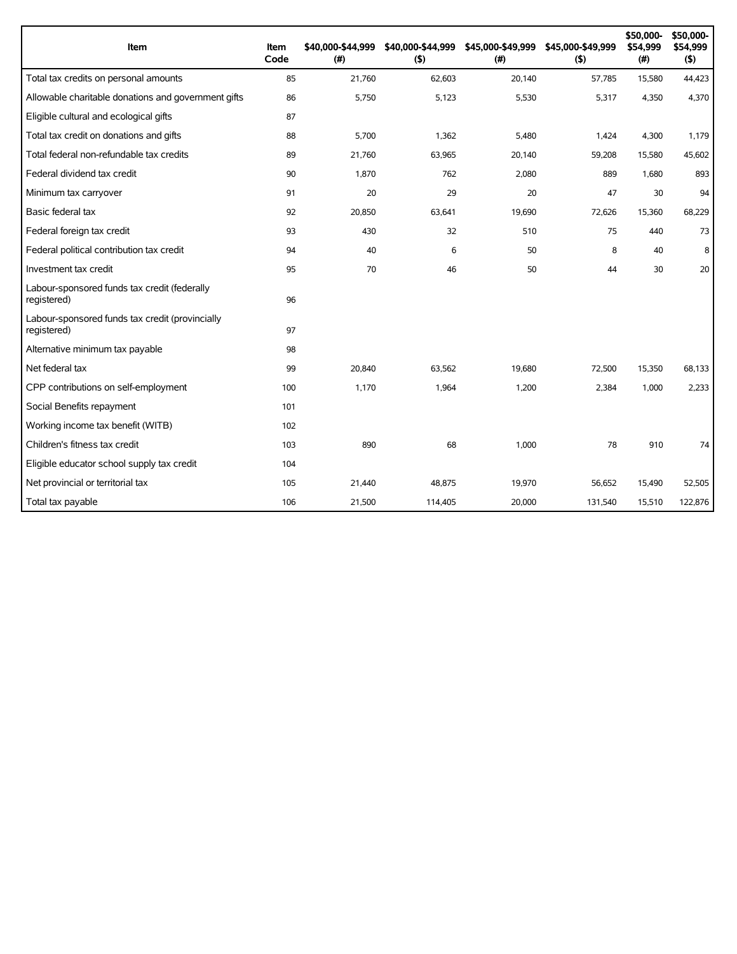| Item                                                           | Item<br>Code | \$40,000-\$44,999<br>(#) | \$40,000-\$44,999<br>(5) | \$45,000-\$49,999<br>(#) | \$45,000-\$49,999<br>(5) | \$50,000-<br>\$54,999<br>(#) | \$50,000-<br>\$54,999<br>(5) |
|----------------------------------------------------------------|--------------|--------------------------|--------------------------|--------------------------|--------------------------|------------------------------|------------------------------|
| Total tax credits on personal amounts                          | 85           | 21,760                   | 62,603                   | 20,140                   | 57,785                   | 15,580                       | 44,423                       |
| Allowable charitable donations and government gifts            | 86           | 5,750                    | 5,123                    | 5,530                    | 5,317                    | 4,350                        | 4,370                        |
| Eligible cultural and ecological gifts                         | 87           |                          |                          |                          |                          |                              |                              |
| Total tax credit on donations and gifts                        | 88           | 5,700                    | 1,362                    | 5,480                    | 1,424                    | 4,300                        | 1,179                        |
| Total federal non-refundable tax credits                       | 89           | 21,760                   | 63,965                   | 20,140                   | 59,208                   | 15,580                       | 45,602                       |
| Federal dividend tax credit                                    | 90           | 1,870                    | 762                      | 2,080                    | 889                      | 1,680                        | 893                          |
| Minimum tax carryover                                          | 91           | 20                       | 29                       | 20                       | 47                       | 30                           | 94                           |
| Basic federal tax                                              | 92           | 20,850                   | 63,641                   | 19,690                   | 72,626                   | 15,360                       | 68,229                       |
| Federal foreign tax credit                                     | 93           | 430                      | 32                       | 510                      | 75                       | 440                          | 73                           |
| Federal political contribution tax credit                      | 94           | 40                       | 6                        | 50                       | 8                        | 40                           | 8                            |
| Investment tax credit                                          | 95           | 70                       | 46                       | 50                       | 44                       | 30                           | 20                           |
| Labour-sponsored funds tax credit (federally<br>registered)    | 96           |                          |                          |                          |                          |                              |                              |
| Labour-sponsored funds tax credit (provincially<br>registered) | 97           |                          |                          |                          |                          |                              |                              |
| Alternative minimum tax payable                                | 98           |                          |                          |                          |                          |                              |                              |
| Net federal tax                                                | 99           | 20,840                   | 63,562                   | 19,680                   | 72,500                   | 15,350                       | 68,133                       |
| CPP contributions on self-employment                           | 100          | 1,170                    | 1,964                    | 1,200                    | 2,384                    | 1,000                        | 2.233                        |
| Social Benefits repayment                                      | 101          |                          |                          |                          |                          |                              |                              |
| Working income tax benefit (WITB)                              | 102          |                          |                          |                          |                          |                              |                              |
| Children's fitness tax credit                                  | 103          | 890                      | 68                       | 1,000                    | 78                       | 910                          | 74                           |
| Eligible educator school supply tax credit                     | 104          |                          |                          |                          |                          |                              |                              |
| Net provincial or territorial tax                              | 105          | 21,440                   | 48,875                   | 19,970                   | 56,652                   | 15,490                       | 52,505                       |
| Total tax payable                                              | 106          | 21,500                   | 114,405                  | 20,000                   | 131,540                  | 15,510                       | 122,876                      |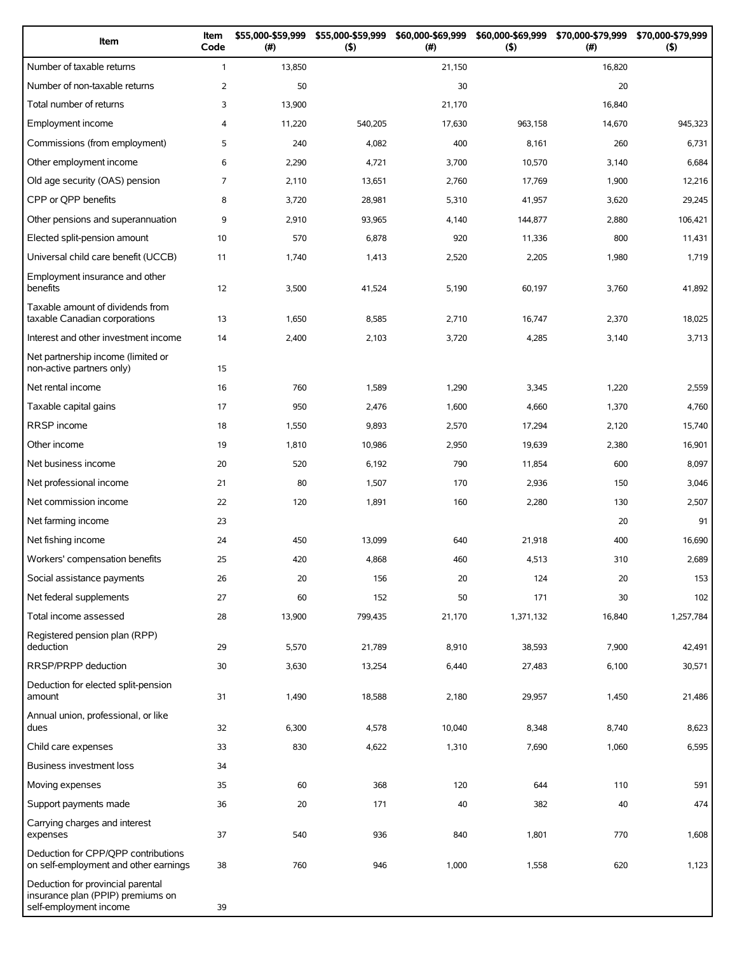| Item                                                                                             | Item<br>Code   | \$55,000-\$59,999<br>(#) | \$55,000-\$59,999<br>(5) | \$60,000-\$69,999<br>(# ) | \$60,000-\$69,999<br>(5) | \$70,000-\$79,999<br>(#) | \$70,000-\$79,999<br>(5) |
|--------------------------------------------------------------------------------------------------|----------------|--------------------------|--------------------------|---------------------------|--------------------------|--------------------------|--------------------------|
| Number of taxable returns                                                                        | $\mathbf{1}$   | 13,850                   |                          | 21,150                    |                          | 16,820                   |                          |
| Number of non-taxable returns                                                                    | $\overline{2}$ | 50                       |                          | 30                        |                          | 20                       |                          |
| Total number of returns                                                                          | 3              | 13,900                   |                          | 21,170                    |                          | 16,840                   |                          |
| Employment income                                                                                | 4              | 11,220                   | 540,205                  | 17,630                    | 963,158                  | 14,670                   | 945,323                  |
| Commissions (from employment)                                                                    | 5              | 240                      | 4,082                    | 400                       | 8,161                    | 260                      | 6,731                    |
| Other employment income                                                                          | 6              | 2,290                    | 4,721                    | 3,700                     | 10,570                   | 3,140                    | 6,684                    |
| Old age security (OAS) pension                                                                   | $\overline{7}$ | 2,110                    | 13,651                   | 2,760                     | 17,769                   | 1,900                    | 12,216                   |
| CPP or QPP benefits                                                                              | 8              | 3,720                    | 28,981                   | 5,310                     | 41,957                   | 3,620                    | 29,245                   |
| Other pensions and superannuation                                                                | 9              | 2,910                    | 93,965                   | 4,140                     | 144,877                  | 2,880                    | 106,421                  |
| Elected split-pension amount                                                                     | 10             | 570                      | 6,878                    | 920                       | 11,336                   | 800                      | 11,431                   |
| Universal child care benefit (UCCB)                                                              | 11             | 1,740                    | 1,413                    | 2,520                     | 2,205                    | 1,980                    | 1,719                    |
| Employment insurance and other<br>benefits                                                       | 12             | 3,500                    | 41,524                   | 5,190                     | 60,197                   | 3,760                    | 41,892                   |
| Taxable amount of dividends from<br>taxable Canadian corporations                                | 13             | 1,650                    | 8,585                    | 2,710                     | 16,747                   | 2,370                    | 18,025                   |
| Interest and other investment income                                                             | 14             | 2,400                    | 2,103                    | 3,720                     | 4,285                    | 3,140                    | 3,713                    |
| Net partnership income (limited or<br>non-active partners only)                                  | 15             |                          |                          |                           |                          |                          |                          |
| Net rental income                                                                                | 16             | 760                      | 1,589                    | 1,290                     | 3,345                    | 1,220                    | 2,559                    |
| Taxable capital gains                                                                            | 17             | 950                      | 2,476                    | 1,600                     | 4,660                    | 1,370                    | 4,760                    |
| <b>RRSP</b> income                                                                               | 18             | 1,550                    | 9,893                    | 2,570                     | 17,294                   | 2,120                    | 15,740                   |
| Other income                                                                                     | 19             | 1,810                    | 10,986                   | 2,950                     | 19,639                   | 2,380                    | 16,901                   |
| Net business income                                                                              | 20             | 520                      | 6,192                    | 790                       | 11,854                   | 600                      | 8,097                    |
| Net professional income                                                                          | 21             | 80                       | 1,507                    | 170                       | 2,936                    | 150                      | 3,046                    |
| Net commission income                                                                            | 22             | 120                      | 1,891                    | 160                       | 2,280                    | 130                      | 2,507                    |
| Net farming income                                                                               | 23             |                          |                          |                           |                          | 20                       | 91                       |
| Net fishing income                                                                               | 24             | 450                      | 13,099                   | 640                       | 21,918                   | 400                      | 16,690                   |
| Workers' compensation benefits                                                                   | 25             | 420                      | 4,868                    | 460                       | 4,513                    | 310                      | 2,689                    |
| Social assistance payments                                                                       | 26             | 20                       | 156                      | 20                        | 124                      | 20                       | 153                      |
| Net federal supplements                                                                          | 27             | 60                       | 152                      | 50                        | 171                      | 30                       | 102                      |
| Total income assessed                                                                            | 28             | 13,900                   | 799,435                  | 21,170                    | 1,371,132                | 16,840                   | 1,257,784                |
| Registered pension plan (RPP)<br>deduction                                                       | 29             | 5,570                    | 21,789                   | 8,910                     | 38,593                   | 7,900                    | 42,491                   |
| RRSP/PRPP deduction                                                                              | 30             | 3,630                    | 13,254                   | 6,440                     | 27,483                   | 6,100                    | 30,571                   |
| Deduction for elected split-pension<br>amount                                                    | 31             | 1,490                    | 18,588                   | 2,180                     | 29,957                   | 1,450                    | 21,486                   |
| Annual union, professional, or like<br>dues                                                      | 32             | 6,300                    | 4,578                    | 10,040                    | 8,348                    | 8,740                    | 8,623                    |
| Child care expenses                                                                              | 33             | 830                      | 4,622                    | 1,310                     | 7,690                    | 1,060                    | 6,595                    |
| Business investment loss                                                                         | 34             |                          |                          |                           |                          |                          |                          |
| Moving expenses                                                                                  | 35             | 60                       | 368                      | 120                       | 644                      | 110                      | 591                      |
| Support payments made                                                                            | 36             | 20                       | 171                      | 40                        | 382                      | 40                       | 474                      |
| Carrying charges and interest<br>expenses                                                        | 37             | 540                      | 936                      | 840                       | 1,801                    | 770                      | 1,608                    |
| Deduction for CPP/QPP contributions<br>on self-employment and other earnings                     | 38             | 760                      | 946                      | 1,000                     | 1,558                    | 620                      | 1,123                    |
| Deduction for provincial parental<br>insurance plan (PPIP) premiums on<br>self-employment income | 39             |                          |                          |                           |                          |                          |                          |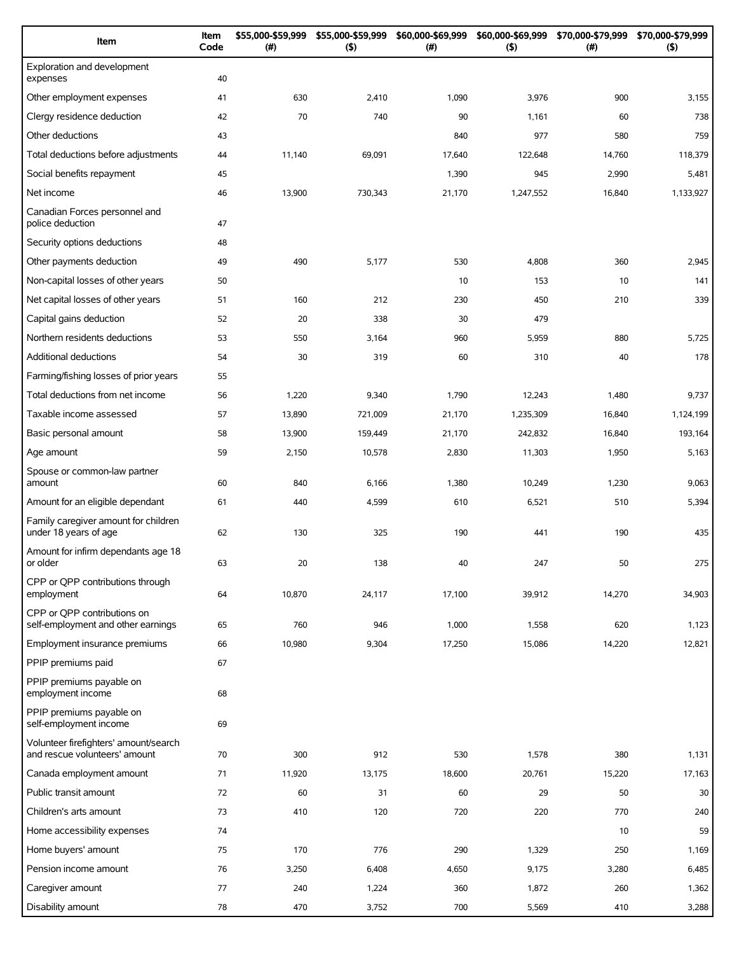| Item                                                                   | Item<br>Code | \$55,000-\$59,999<br>(#) | \$55,000-\$59,999<br>$($ \$) | \$60,000-\$69,999<br>(#) | \$60,000-\$69,999<br>(5) | \$70,000-\$79,999<br>$(\#)$ | \$70,000-\$79,999<br>(5) |
|------------------------------------------------------------------------|--------------|--------------------------|------------------------------|--------------------------|--------------------------|-----------------------------|--------------------------|
| Exploration and development<br>expenses                                | 40           |                          |                              |                          |                          |                             |                          |
| Other employment expenses                                              | 41           | 630                      | 2,410                        | 1,090                    | 3,976                    | 900                         | 3,155                    |
| Clergy residence deduction                                             | 42           | 70                       | 740                          | 90                       | 1,161                    | 60                          | 738                      |
| Other deductions                                                       | 43           |                          |                              | 840                      | 977                      | 580                         | 759                      |
| Total deductions before adjustments                                    | 44           | 11,140                   | 69,091                       | 17,640                   | 122,648                  | 14,760                      | 118,379                  |
| Social benefits repayment                                              | 45           |                          |                              | 1,390                    | 945                      | 2,990                       | 5,481                    |
| Net income                                                             | 46           | 13,900                   | 730,343                      | 21,170                   | 1,247,552                | 16,840                      | 1,133,927                |
| Canadian Forces personnel and<br>police deduction                      | 47           |                          |                              |                          |                          |                             |                          |
| Security options deductions                                            | 48           |                          |                              |                          |                          |                             |                          |
| Other payments deduction                                               | 49           | 490                      | 5,177                        | 530                      | 4,808                    | 360                         | 2,945                    |
| Non-capital losses of other years                                      | 50           |                          |                              | 10                       | 153                      | 10                          | 141                      |
| Net capital losses of other years                                      | 51           | 160                      | 212                          | 230                      | 450                      | 210                         | 339                      |
| Capital gains deduction                                                | 52           | 20                       | 338                          | 30                       | 479                      |                             |                          |
| Northern residents deductions                                          | 53           | 550                      | 3,164                        | 960                      | 5,959                    | 880                         | 5,725                    |
| Additional deductions                                                  | 54           | 30                       | 319                          | 60                       | 310                      | 40                          | 178                      |
| Farming/fishing losses of prior years                                  | 55           |                          |                              |                          |                          |                             |                          |
| Total deductions from net income                                       | 56           | 1,220                    | 9,340                        | 1,790                    | 12,243                   | 1,480                       | 9,737                    |
| Taxable income assessed                                                | 57           | 13,890                   | 721,009                      | 21,170                   | 1,235,309                | 16,840                      | 1,124,199                |
| Basic personal amount                                                  | 58           | 13,900                   | 159,449                      | 21,170                   | 242,832                  | 16,840                      | 193,164                  |
| Age amount                                                             | 59           | 2,150                    | 10,578                       | 2,830                    | 11,303                   | 1,950                       | 5,163                    |
| Spouse or common-law partner<br>amount                                 | 60           | 840                      | 6,166                        | 1,380                    | 10,249                   | 1,230                       | 9,063                    |
| Amount for an eligible dependant                                       | 61           | 440                      | 4,599                        | 610                      | 6,521                    | 510                         | 5,394                    |
| Family caregiver amount for children<br>under 18 years of age          | 62           | 130                      | 325                          | 190                      | 441                      | 190                         | 435                      |
| Amount for infirm dependants age 18<br>or older                        | 63           | 20                       | 138                          | 40                       | 247                      | 50                          | 275                      |
| CPP or QPP contributions through<br>employment                         | 64           | 10,870                   | 24,117                       | 17,100                   | 39,912                   | 14,270                      | 34,903                   |
| CPP or QPP contributions on<br>self-employment and other earnings      | 65           | 760                      | 946                          | 1,000                    | 1,558                    | 620                         | 1,123                    |
| Employment insurance premiums                                          | 66           | 10,980                   | 9,304                        | 17,250                   | 15,086                   | 14,220                      | 12,821                   |
| PPIP premiums paid                                                     | 67           |                          |                              |                          |                          |                             |                          |
| PPIP premiums payable on<br>employment income                          | 68           |                          |                              |                          |                          |                             |                          |
| PPIP premiums payable on<br>self-employment income                     | 69           |                          |                              |                          |                          |                             |                          |
| Volunteer firefighters' amount/search<br>and rescue volunteers' amount | $70\,$       | 300                      | 912                          | 530                      | 1,578                    | 380                         | 1,131                    |
| Canada employment amount                                               | 71           | 11,920                   | 13,175                       | 18,600                   | 20,761                   | 15,220                      | 17,163                   |
| Public transit amount                                                  | 72           | 60                       | 31                           | 60                       | 29                       | 50                          | 30                       |
| Children's arts amount                                                 | 73           | 410                      | 120                          | 720                      | 220                      | 770                         | 240                      |
| Home accessibility expenses                                            | 74           |                          |                              |                          |                          | 10                          | 59                       |
| Home buyers' amount                                                    | 75           | 170                      | 776                          | 290                      | 1,329                    | 250                         | 1,169                    |
| Pension income amount                                                  | 76           | 3,250                    | 6,408                        | 4,650                    | 9,175                    | 3,280                       | 6,485                    |
| Caregiver amount                                                       | 77           | 240                      | 1,224                        | 360                      | 1,872                    | 260                         | 1,362                    |
| Disability amount                                                      | 78           | 470                      | 3,752                        | 700                      | 5,569                    | 410                         | 3,288                    |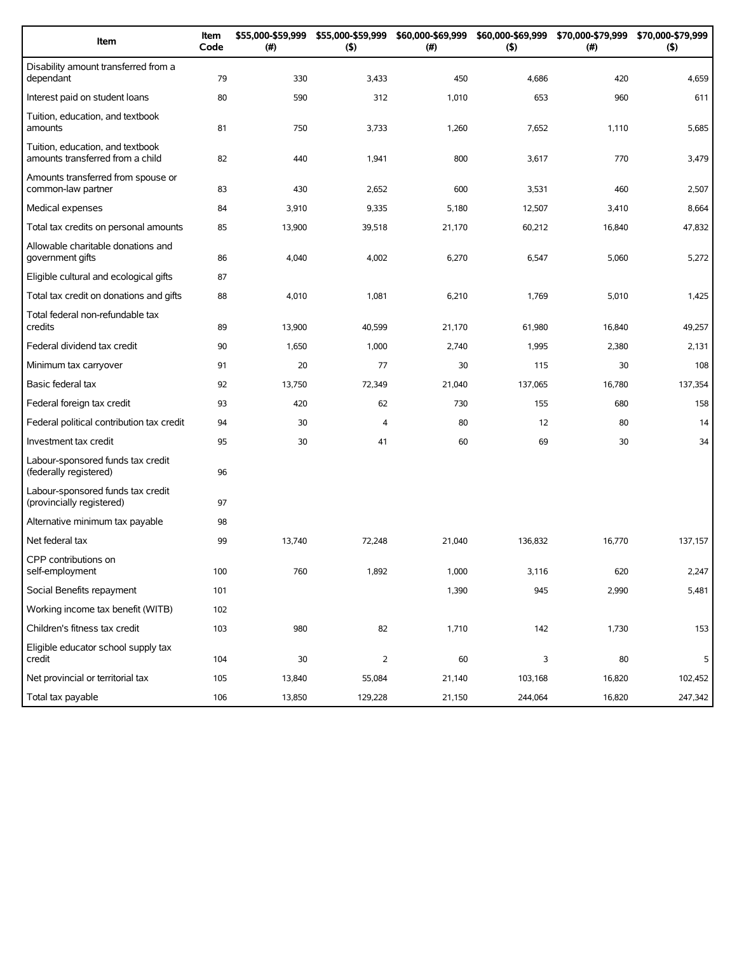| Item                                                                 | Item<br>Code | \$55,000-\$59,999<br>(#) | \$55,000-\$59,999<br>(5) | \$60,000-\$69,999<br>(#) | \$60,000-\$69,999<br>(5) | \$70,000-\$79,999<br>(#) | \$70,000-\$79,999<br>(5) |
|----------------------------------------------------------------------|--------------|--------------------------|--------------------------|--------------------------|--------------------------|--------------------------|--------------------------|
| Disability amount transferred from a<br>dependant                    | 79           | 330                      | 3,433                    | 450                      | 4,686                    | 420                      | 4,659                    |
| Interest paid on student loans                                       | 80           | 590                      | 312                      | 1,010                    | 653                      | 960                      | 611                      |
| Tuition, education, and textbook<br>amounts                          | 81           | 750                      | 3,733                    | 1,260                    | 7,652                    | 1,110                    | 5,685                    |
| Tuition, education, and textbook<br>amounts transferred from a child | 82           | 440                      | 1,941                    | 800                      | 3,617                    | 770                      | 3,479                    |
| Amounts transferred from spouse or<br>common-law partner             | 83           | 430                      | 2,652                    | 600                      | 3,531                    | 460                      | 2,507                    |
| Medical expenses                                                     | 84           | 3,910                    | 9,335                    | 5,180                    | 12,507                   | 3,410                    | 8,664                    |
| Total tax credits on personal amounts                                | 85           | 13,900                   | 39,518                   | 21,170                   | 60,212                   | 16,840                   | 47,832                   |
| Allowable charitable donations and<br>government gifts               | 86           | 4,040                    | 4,002                    | 6,270                    | 6,547                    | 5,060                    | 5,272                    |
| Eligible cultural and ecological gifts                               | 87           |                          |                          |                          |                          |                          |                          |
| Total tax credit on donations and gifts                              | 88           | 4,010                    | 1,081                    | 6,210                    | 1,769                    | 5,010                    | 1,425                    |
| Total federal non-refundable tax<br>credits                          | 89           | 13,900                   | 40,599                   | 21,170                   | 61,980                   | 16,840                   | 49,257                   |
| Federal dividend tax credit                                          | 90           | 1,650                    | 1,000                    | 2,740                    | 1,995                    | 2,380                    | 2,131                    |
| Minimum tax carryover                                                | 91           | 20                       | 77                       | 30                       | 115                      | 30                       | 108                      |
| Basic federal tax                                                    | 92           | 13,750                   | 72,349                   | 21,040                   | 137,065                  | 16,780                   | 137,354                  |
| Federal foreign tax credit                                           | 93           | 420                      | 62                       | 730                      | 155                      | 680                      | 158                      |
| Federal political contribution tax credit                            | 94           | 30                       | 4                        | 80                       | 12                       | 80                       | 14                       |
| Investment tax credit                                                | 95           | 30                       | 41                       | 60                       | 69                       | 30                       | 34                       |
| Labour-sponsored funds tax credit<br>(federally registered)          | 96           |                          |                          |                          |                          |                          |                          |
| Labour-sponsored funds tax credit<br>(provincially registered)       | 97           |                          |                          |                          |                          |                          |                          |
| Alternative minimum tax payable                                      | 98           |                          |                          |                          |                          |                          |                          |
| Net federal tax                                                      | 99           | 13,740                   | 72,248                   | 21,040                   | 136,832                  | 16,770                   | 137,157                  |
| CPP contributions on<br>self-employment                              | 100          | 760                      | 1,892                    | 1,000                    | 3,116                    | 620                      | 2,247                    |
| Social Benefits repayment                                            | 101          |                          |                          | 1,390                    | 945                      | 2,990                    | 5,481                    |
| Working income tax benefit (WITB)                                    | 102          |                          |                          |                          |                          |                          |                          |
| Children's fitness tax credit                                        | 103          | 980                      | 82                       | 1,710                    | 142                      | 1,730                    | 153                      |
| Eligible educator school supply tax<br>credit                        | 104          | $30\,$                   | $\overline{2}$           | 60                       | 3                        | 80                       | 5                        |
| Net provincial or territorial tax                                    | 105          | 13,840                   | 55,084                   | 21,140                   | 103,168                  | 16,820                   | 102,452                  |
| Total tax payable                                                    | 106          | 13,850                   | 129,228                  | 21,150                   | 244,064                  | 16,820                   | 247,342                  |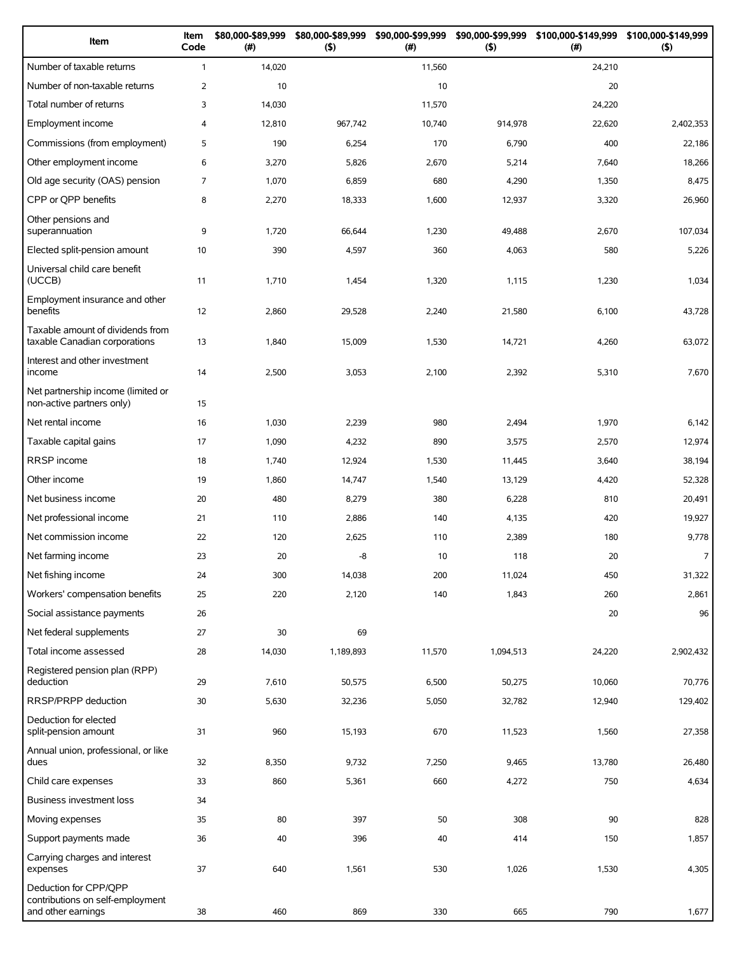| Item                                                                            | Item<br>Code   | \$80,000-\$89,999<br>$(\#)$ | \$80,000-\$89,999<br>$($ \$) | \$90,000-\$99,999<br>(#) | \$90,000-\$99,999<br>$($ \$) | \$100,000-\$149,999<br>(#) | \$100,000-\$149,999<br>$($ \$) |
|---------------------------------------------------------------------------------|----------------|-----------------------------|------------------------------|--------------------------|------------------------------|----------------------------|--------------------------------|
| Number of taxable returns                                                       | $\mathbf{1}$   | 14,020                      |                              | 11,560                   |                              | 24,210                     |                                |
| Number of non-taxable returns                                                   | $\overline{2}$ | 10                          |                              | 10                       |                              | 20                         |                                |
| Total number of returns                                                         | 3              | 14,030                      |                              | 11,570                   |                              | 24,220                     |                                |
| Employment income                                                               | 4              | 12,810                      | 967,742                      | 10,740                   | 914,978                      | 22,620                     | 2,402,353                      |
| Commissions (from employment)                                                   | 5              | 190                         | 6,254                        | 170                      | 6,790                        | 400                        | 22,186                         |
| Other employment income                                                         | 6              | 3,270                       | 5,826                        | 2,670                    | 5,214                        | 7,640                      | 18,266                         |
| Old age security (OAS) pension                                                  | 7              | 1,070                       | 6,859                        | 680                      | 4,290                        | 1,350                      | 8,475                          |
| CPP or QPP benefits                                                             | 8              | 2,270                       | 18,333                       | 1,600                    | 12,937                       | 3,320                      | 26,960                         |
| Other pensions and<br>superannuation                                            | 9              | 1,720                       | 66,644                       | 1,230                    | 49,488                       | 2,670                      | 107,034                        |
| Elected split-pension amount                                                    | 10             | 390                         | 4,597                        | 360                      | 4,063                        | 580                        | 5,226                          |
| Universal child care benefit<br>(UCCB)                                          | 11             | 1,710                       | 1,454                        | 1,320                    | 1,115                        | 1,230                      | 1,034                          |
| Employment insurance and other<br>benefits                                      | 12             | 2,860                       | 29,528                       | 2,240                    | 21,580                       | 6,100                      | 43,728                         |
| Taxable amount of dividends from<br>taxable Canadian corporations               | 13             | 1,840                       | 15,009                       | 1,530                    | 14,721                       | 4,260                      | 63,072                         |
| Interest and other investment<br>income                                         | 14             | 2,500                       | 3,053                        | 2,100                    | 2,392                        | 5,310                      | 7,670                          |
| Net partnership income (limited or<br>non-active partners only)                 | 15             |                             |                              |                          |                              |                            |                                |
| Net rental income                                                               | 16             | 1,030                       | 2,239                        | 980                      | 2,494                        | 1,970                      | 6,142                          |
| Taxable capital gains                                                           | 17             | 1,090                       | 4,232                        | 890                      | 3,575                        | 2,570                      | 12,974                         |
| RRSP income                                                                     | 18             | 1,740                       | 12,924                       | 1,530                    | 11,445                       | 3,640                      | 38,194                         |
| Other income                                                                    | 19             | 1,860                       | 14,747                       | 1,540                    | 13,129                       | 4,420                      | 52,328                         |
| Net business income                                                             | 20             | 480                         | 8,279                        | 380                      | 6,228                        | 810                        | 20,491                         |
| Net professional income                                                         | 21             | 110                         | 2,886                        | 140                      | 4,135                        | 420                        | 19,927                         |
| Net commission income                                                           | 22             | 120                         | 2,625                        | 110                      | 2,389                        | 180                        | 9,778                          |
| Net farming income                                                              | 23             | 20                          | -8                           | 10                       | 118                          | 20                         | $\overline{7}$                 |
| Net fishing income                                                              | 24             | 300                         | 14,038                       | 200                      | 11,024                       | 450                        | 31,322                         |
| Workers' compensation benefits                                                  | 25             | 220                         | 2,120                        | 140                      | 1,843                        | 260                        | 2,861                          |
| Social assistance payments                                                      | 26             |                             |                              |                          |                              | 20                         | 96                             |
| Net federal supplements                                                         | 27             | 30                          | 69                           |                          |                              |                            |                                |
| Total income assessed                                                           | 28             | 14,030                      | 1,189,893                    | 11,570                   | 1,094,513                    | 24,220                     | 2,902,432                      |
| Registered pension plan (RPP)<br>deduction                                      | 29             | 7,610                       | 50,575                       | 6,500                    | 50,275                       | 10,060                     | 70,776                         |
| RRSP/PRPP deduction                                                             | 30             | 5,630                       | 32,236                       | 5,050                    | 32,782                       | 12,940                     | 129,402                        |
| Deduction for elected<br>split-pension amount                                   | 31             | 960                         | 15,193                       | 670                      | 11,523                       | 1,560                      | 27,358                         |
| Annual union, professional, or like<br>dues                                     | 32             | 8,350                       | 9,732                        | 7,250                    | 9,465                        | 13,780                     | 26,480                         |
| Child care expenses                                                             | 33             | 860                         | 5,361                        | 660                      | 4,272                        | 750                        | 4,634                          |
| Business investment loss                                                        | 34             |                             |                              |                          |                              |                            |                                |
| Moving expenses                                                                 | 35             | 80                          | 397                          | 50                       | 308                          | 90                         | 828                            |
| Support payments made                                                           | 36             | 40                          | 396                          | 40                       | 414                          | 150                        | 1,857                          |
| Carrying charges and interest<br>expenses                                       | 37             | 640                         | 1,561                        | 530                      | 1,026                        | 1,530                      | 4,305                          |
| Deduction for CPP/QPP<br>contributions on self-employment<br>and other earnings | 38             | 460                         | 869                          | 330                      | 665                          | 790                        | 1,677                          |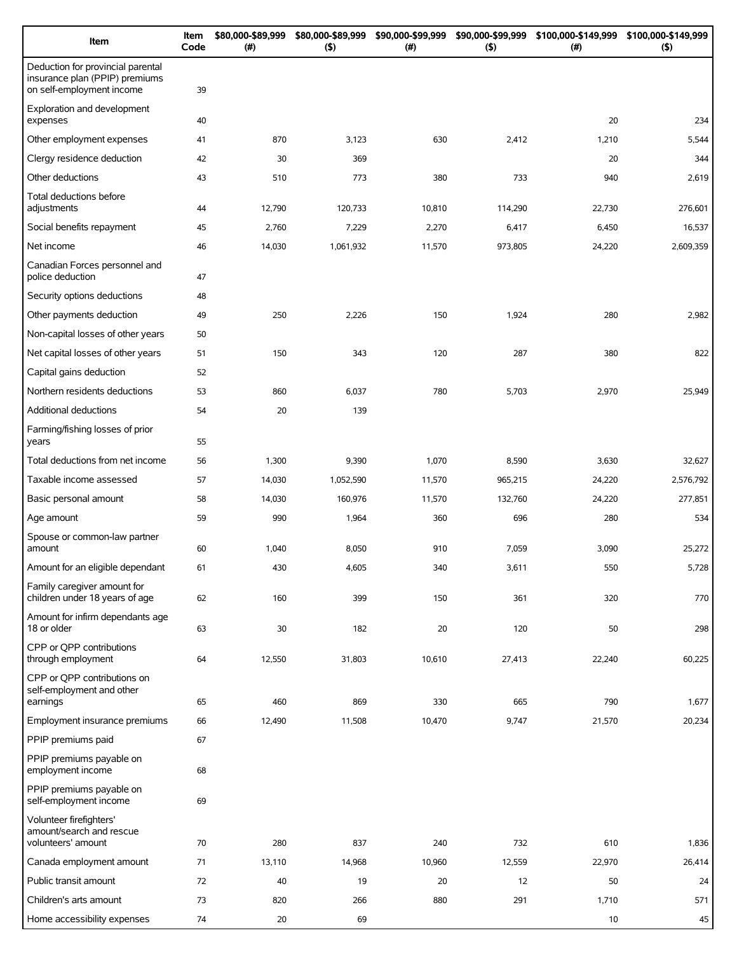| Item                                                                                             | Item<br>Code | \$80,000-\$89,999<br>(# ) | \$80,000-\$89,999<br>$($ \$) | \$90,000-\$99,999<br>(# ) | \$90,000-\$99,999<br>(5) | \$100,000-\$149,999<br>(#) | \$100,000-\$149,999<br>$($ \$) |
|--------------------------------------------------------------------------------------------------|--------------|---------------------------|------------------------------|---------------------------|--------------------------|----------------------------|--------------------------------|
| Deduction for provincial parental<br>insurance plan (PPIP) premiums<br>on self-employment income | 39           |                           |                              |                           |                          |                            |                                |
| Exploration and development<br>expenses                                                          | 40           |                           |                              |                           |                          | 20                         | 234                            |
| Other employment expenses                                                                        | 41           | 870                       | 3,123                        | 630                       | 2,412                    | 1,210                      | 5,544                          |
| Clergy residence deduction                                                                       | 42           | 30                        | 369                          |                           |                          | 20                         | 344                            |
| Other deductions                                                                                 | 43           | 510                       | 773                          | 380                       | 733                      | 940                        | 2,619                          |
| Total deductions before<br>adjustments                                                           | 44           | 12,790                    | 120,733                      | 10,810                    | 114,290                  | 22,730                     | 276,601                        |
| Social benefits repayment                                                                        | 45           | 2,760                     | 7,229                        | 2,270                     | 6,417                    | 6,450                      | 16,537                         |
| Net income                                                                                       | 46           | 14,030                    | 1,061,932                    | 11,570                    | 973,805                  | 24,220                     | 2,609,359                      |
| Canadian Forces personnel and<br>police deduction                                                | 47           |                           |                              |                           |                          |                            |                                |
| Security options deductions                                                                      | 48           |                           |                              |                           |                          |                            |                                |
| Other payments deduction                                                                         | 49           | 250                       | 2,226                        | 150                       | 1,924                    | 280                        | 2,982                          |
| Non-capital losses of other years                                                                | 50           |                           |                              |                           |                          |                            |                                |
| Net capital losses of other years                                                                | 51           | 150                       | 343                          | 120                       | 287                      | 380                        | 822                            |
| Capital gains deduction                                                                          | 52           |                           |                              |                           |                          |                            |                                |
| Northern residents deductions                                                                    | 53           | 860                       | 6,037                        | 780                       | 5,703                    | 2,970                      | 25,949                         |
| Additional deductions                                                                            | 54           | 20                        | 139                          |                           |                          |                            |                                |
| Farming/fishing losses of prior<br>years                                                         | 55           |                           |                              |                           |                          |                            |                                |
| Total deductions from net income                                                                 | 56           | 1,300                     | 9,390                        | 1,070                     | 8,590                    | 3,630                      | 32,627                         |
| Taxable income assessed                                                                          | 57           | 14,030                    | 1,052,590                    | 11,570                    | 965,215                  | 24,220                     | 2,576,792                      |
| Basic personal amount                                                                            | 58           | 14,030                    | 160,976                      | 11,570                    | 132,760                  | 24,220                     | 277,851                        |
| Age amount                                                                                       | 59           | 990                       | 1,964                        | 360                       | 696                      | 280                        | 534                            |
| Spouse or common-law partner<br>amount                                                           | 60           | 1,040                     | 8,050                        | 910                       | 7,059                    | 3,090                      | 25,272                         |
| Amount for an eligible dependant                                                                 | 61           | 430                       | 4,605                        | 340                       | 3,611                    | 550                        | 5,728                          |
| Family caregiver amount for<br>children under 18 years of age                                    | 62           | 160                       | 399                          | 150                       | 361                      | 320                        | 770                            |
| Amount for infirm dependants age<br>18 or older                                                  | 63           | 30                        | 182                          | 20                        | 120                      | 50                         | 298                            |
| CPP or QPP contributions<br>through employment                                                   | 64           | 12,550                    | 31,803                       | 10,610                    | 27,413                   | 22,240                     | 60,225                         |
| CPP or QPP contributions on<br>self-employment and other<br>earnings                             | 65           | 460                       | 869                          | 330                       | 665                      | 790                        | 1,677                          |
| Employment insurance premiums                                                                    | 66           | 12,490                    | 11,508                       | 10,470                    | 9,747                    | 21,570                     | 20,234                         |
| PPIP premiums paid                                                                               | 67           |                           |                              |                           |                          |                            |                                |
| PPIP premiums payable on<br>employment income                                                    | 68           |                           |                              |                           |                          |                            |                                |
| PPIP premiums payable on<br>self-employment income                                               | 69           |                           |                              |                           |                          |                            |                                |
| Volunteer firefighters'<br>amount/search and rescue<br>volunteers' amount                        | 70           | 280                       | 837                          | 240                       | 732                      | 610                        | 1,836                          |
| Canada employment amount                                                                         | 71           | 13,110                    | 14,968                       | 10,960                    | 12,559                   | 22,970                     | 26,414                         |
| Public transit amount                                                                            | 72           | 40                        | 19                           | 20                        | 12                       | 50                         | 24                             |
| Children's arts amount                                                                           | 73           | 820                       | 266                          | 880                       | 291                      | 1,710                      | 571                            |
| Home accessibility expenses                                                                      | 74           | 20                        | 69                           |                           |                          | $10$                       | 45                             |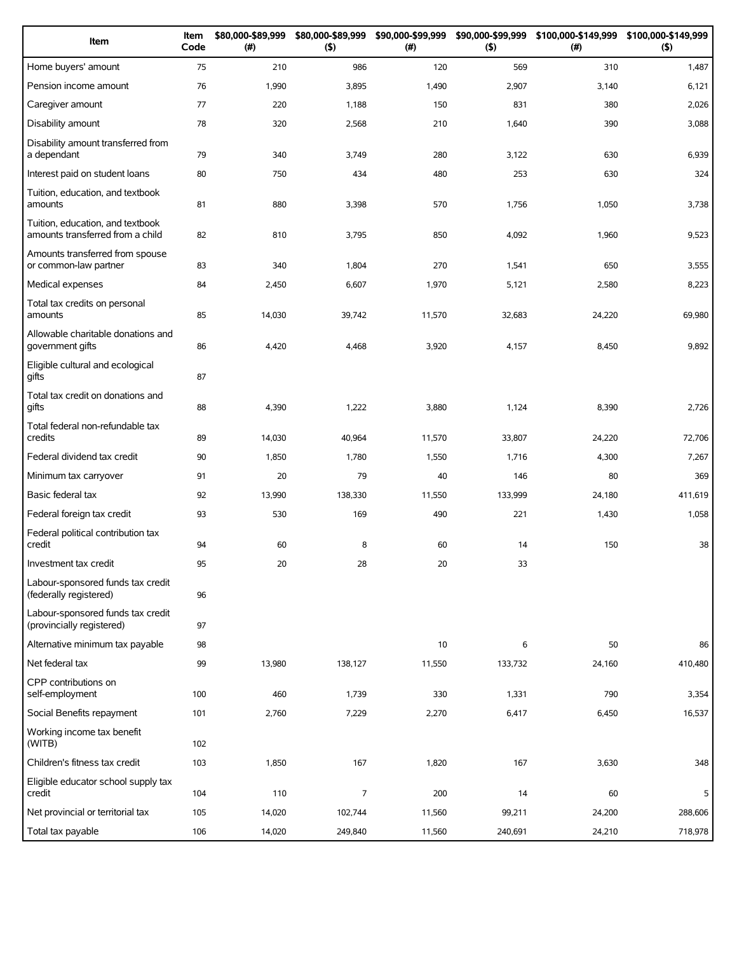| Item                                                                 | Item<br>Code | \$80,000-\$89,999<br>(#) | \$80,000-\$89,999<br>$($ \$) | \$90,000-\$99,999<br>(#) | \$90,000-\$99,999<br>(5) | \$100,000-\$149,999<br>(# ) | \$100,000-\$149,999<br>(5) |
|----------------------------------------------------------------------|--------------|--------------------------|------------------------------|--------------------------|--------------------------|-----------------------------|----------------------------|
| Home buyers' amount                                                  | 75           | 210                      | 986                          | 120                      | 569                      | 310                         | 1,487                      |
| Pension income amount                                                | 76           | 1,990                    | 3,895                        | 1,490                    | 2,907                    | 3,140                       | 6,121                      |
| Caregiver amount                                                     | 77           | 220                      | 1,188                        | 150                      | 831                      | 380                         | 2,026                      |
| Disability amount                                                    | 78           | 320                      | 2,568                        | 210                      | 1,640                    | 390                         | 3,088                      |
| Disability amount transferred from<br>a dependant                    | 79           | 340                      | 3,749                        | 280                      | 3,122                    | 630                         | 6,939                      |
| Interest paid on student loans                                       | 80           | 750                      | 434                          | 480                      | 253                      | 630                         | 324                        |
| Tuition, education, and textbook<br>amounts                          | 81           | 880                      | 3,398                        | 570                      | 1,756                    | 1,050                       | 3,738                      |
| Tuition, education, and textbook<br>amounts transferred from a child | 82           | 810                      | 3,795                        | 850                      | 4,092                    | 1,960                       | 9,523                      |
| Amounts transferred from spouse<br>or common-law partner             | 83           | 340                      | 1,804                        | 270                      | 1,541                    | 650                         | 3,555                      |
| Medical expenses                                                     | 84           | 2,450                    | 6,607                        | 1,970                    | 5,121                    | 2,580                       | 8,223                      |
| Total tax credits on personal<br>amounts                             | 85           | 14,030                   | 39,742                       | 11,570                   | 32,683                   | 24,220                      | 69,980                     |
| Allowable charitable donations and<br>government gifts               | 86           | 4,420                    | 4,468                        | 3,920                    | 4,157                    | 8,450                       | 9,892                      |
| Eligible cultural and ecological<br>gifts                            | 87           |                          |                              |                          |                          |                             |                            |
| Total tax credit on donations and<br>gifts                           | 88           | 4,390                    | 1,222                        | 3,880                    | 1,124                    | 8,390                       | 2,726                      |
| Total federal non-refundable tax<br>credits                          | 89           | 14,030                   | 40,964                       | 11,570                   | 33,807                   | 24,220                      | 72,706                     |
| Federal dividend tax credit                                          | 90           | 1,850                    | 1,780                        | 1,550                    | 1,716                    | 4,300                       | 7,267                      |
| Minimum tax carryover                                                | 91           | 20                       | 79                           | 40                       | 146                      | 80                          | 369                        |
| Basic federal tax                                                    | 92           | 13,990                   | 138,330                      | 11,550                   | 133,999                  | 24,180                      | 411,619                    |
| Federal foreign tax credit                                           | 93           | 530                      | 169                          | 490                      | 221                      | 1,430                       | 1,058                      |
| Federal political contribution tax<br>credit                         | 94           | 60                       | 8                            | 60                       | 14                       | 150                         | 38                         |
| Investment tax credit                                                | 95           | 20                       | 28                           | 20                       | 33                       |                             |                            |
| Labour-sponsored funds tax credit<br>(federally registered)          | 96           |                          |                              |                          |                          |                             |                            |
| Labour-sponsored funds tax credit<br>(provincially registered)       | 97           |                          |                              |                          |                          |                             |                            |
| Alternative minimum tax payable                                      | 98           |                          |                              | 10                       | 6                        | 50                          | 86                         |
| Net federal tax                                                      | 99           | 13,980                   | 138,127                      | 11,550                   | 133,732                  | 24,160                      | 410,480                    |
| CPP contributions on<br>self-employment                              | 100          | 460                      | 1,739                        | 330                      | 1,331                    | 790                         | 3,354                      |
| Social Benefits repayment                                            | 101          | 2,760                    | 7,229                        | 2,270                    | 6,417                    | 6,450                       | 16,537                     |
| Working income tax benefit<br>(WITB)                                 | 102          |                          |                              |                          |                          |                             |                            |
| Children's fitness tax credit                                        | 103          | 1,850                    | 167                          | 1,820                    | 167                      | 3,630                       | 348                        |
| Eligible educator school supply tax<br>credit                        | 104          | 110                      | 7                            | 200                      | 14                       | 60                          | 5                          |
| Net provincial or territorial tax                                    | 105          | 14,020                   | 102,744                      | 11,560                   | 99,211                   | 24,200                      | 288,606                    |
| Total tax payable                                                    | 106          | 14,020                   | 249,840                      | 11,560                   | 240,691                  | 24,210                      | 718,978                    |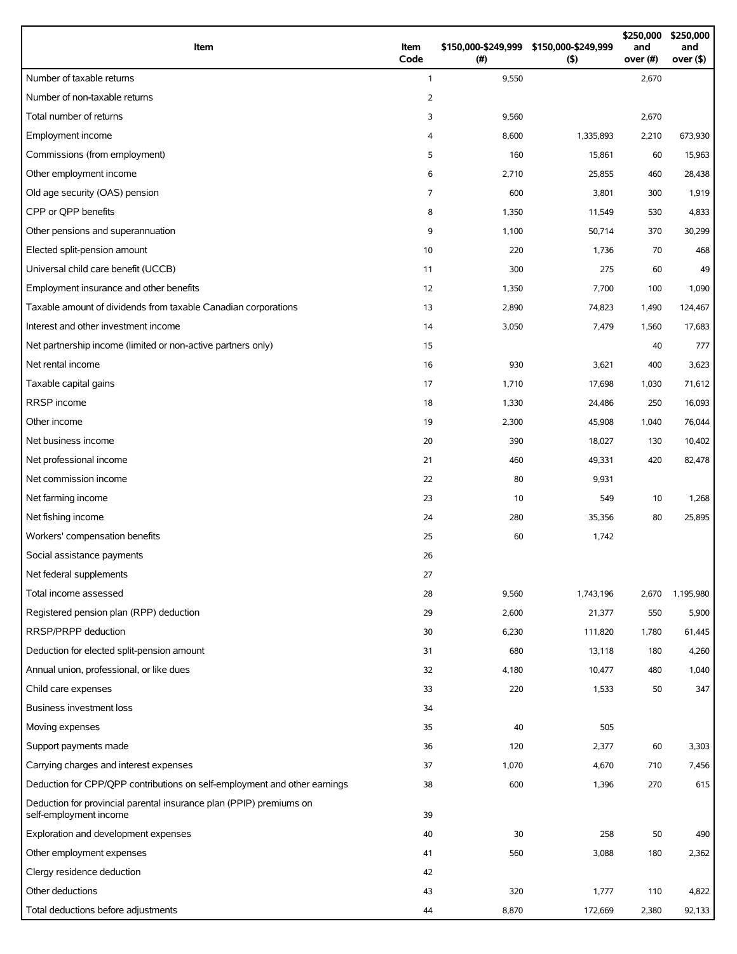| Item                                                                                          | Item<br>Code   | (# )  | \$150,000-\$249,999 \$150,000-\$249,999<br>$($ \$) | \$250,000<br>and<br>over (#) | \$250,000<br>and<br>over $($ \$) |
|-----------------------------------------------------------------------------------------------|----------------|-------|----------------------------------------------------|------------------------------|----------------------------------|
| Number of taxable returns                                                                     | $\mathbf{1}$   | 9,550 |                                                    | 2,670                        |                                  |
| Number of non-taxable returns                                                                 | 2              |       |                                                    |                              |                                  |
| Total number of returns                                                                       | 3              | 9,560 |                                                    | 2,670                        |                                  |
| Employment income                                                                             | 4              | 8,600 | 1,335,893                                          | 2,210                        | 673,930                          |
| Commissions (from employment)                                                                 | 5              | 160   | 15,861                                             | 60                           | 15,963                           |
| Other employment income                                                                       | 6              | 2,710 | 25,855                                             | 460                          | 28,438                           |
| Old age security (OAS) pension                                                                | $\overline{7}$ | 600   | 3,801                                              | 300                          | 1,919                            |
| CPP or OPP benefits                                                                           | 8              | 1,350 | 11,549                                             | 530                          | 4,833                            |
| Other pensions and superannuation                                                             | 9              | 1,100 | 50,714                                             | 370                          | 30,299                           |
| Elected split-pension amount                                                                  | 10             | 220   | 1,736                                              | 70                           | 468                              |
| Universal child care benefit (UCCB)                                                           | 11             | 300   | 275                                                | 60                           | 49                               |
| Employment insurance and other benefits                                                       | 12             | 1,350 | 7,700                                              | 100                          | 1,090                            |
| Taxable amount of dividends from taxable Canadian corporations                                | 13             | 2,890 | 74,823                                             | 1,490                        | 124,467                          |
| Interest and other investment income                                                          | 14             | 3,050 | 7,479                                              | 1,560                        | 17,683                           |
| Net partnership income (limited or non-active partners only)                                  | 15             |       |                                                    | 40                           | 777                              |
| Net rental income                                                                             | 16             | 930   | 3,621                                              | 400                          | 3,623                            |
| Taxable capital gains                                                                         | 17             | 1,710 | 17,698                                             | 1,030                        | 71,612                           |
| RRSP income                                                                                   | 18             | 1,330 | 24,486                                             | 250                          | 16,093                           |
| Other income                                                                                  | 19             | 2,300 | 45,908                                             | 1,040                        | 76,044                           |
| Net business income                                                                           | 20             | 390   | 18,027                                             | 130                          | 10,402                           |
| Net professional income                                                                       | 21             | 460   | 49,331                                             | 420                          | 82,478                           |
| Net commission income                                                                         | 22             | 80    | 9,931                                              |                              |                                  |
| Net farming income                                                                            | 23             | 10    | 549                                                | 10                           | 1,268                            |
| Net fishing income                                                                            | 24             | 280   | 35,356                                             | 80                           | 25,895                           |
| Workers' compensation benefits                                                                | 25             | 60    | 1,742                                              |                              |                                  |
| Social assistance payments                                                                    | 26             |       |                                                    |                              |                                  |
| Net federal supplements                                                                       | 27             |       |                                                    |                              |                                  |
| Total income assessed                                                                         | 28             | 9,560 | 1,743,196                                          | 2,670                        | 1,195,980                        |
| Registered pension plan (RPP) deduction                                                       | 29             | 2,600 | 21,377                                             | 550                          | 5,900                            |
| RRSP/PRPP deduction                                                                           | 30             | 6,230 | 111,820                                            | 1,780                        | 61,445                           |
| Deduction for elected split-pension amount                                                    | 31             | 680   | 13,118                                             | 180                          | 4,260                            |
| Annual union, professional, or like dues                                                      | 32             | 4,180 | 10,477                                             | 480                          | 1,040                            |
| Child care expenses                                                                           | 33             | 220   | 1,533                                              | 50                           | 347                              |
| Business investment loss                                                                      | 34             |       |                                                    |                              |                                  |
| Moving expenses                                                                               | 35             | 40    | 505                                                |                              |                                  |
| Support payments made                                                                         | 36             | 120   | 2,377                                              | 60                           | 3,303                            |
| Carrying charges and interest expenses                                                        | 37             | 1,070 | 4,670                                              | 710                          | 7,456                            |
| Deduction for CPP/QPP contributions on self-employment and other earnings                     | 38             | 600   | 1,396                                              | 270                          | 615                              |
| Deduction for provincial parental insurance plan (PPIP) premiums on<br>self-employment income | 39             |       |                                                    |                              |                                  |
| Exploration and development expenses                                                          | 40             | 30    | 258                                                | 50                           | 490                              |
| Other employment expenses                                                                     | 41             | 560   | 3,088                                              | 180                          | 2,362                            |
| Clergy residence deduction                                                                    | 42             |       |                                                    |                              |                                  |
| Other deductions                                                                              | 43             | 320   | 1,777                                              | 110                          | 4,822                            |
| Total deductions before adjustments                                                           | 44             | 8,870 | 172,669                                            | 2,380                        | 92,133                           |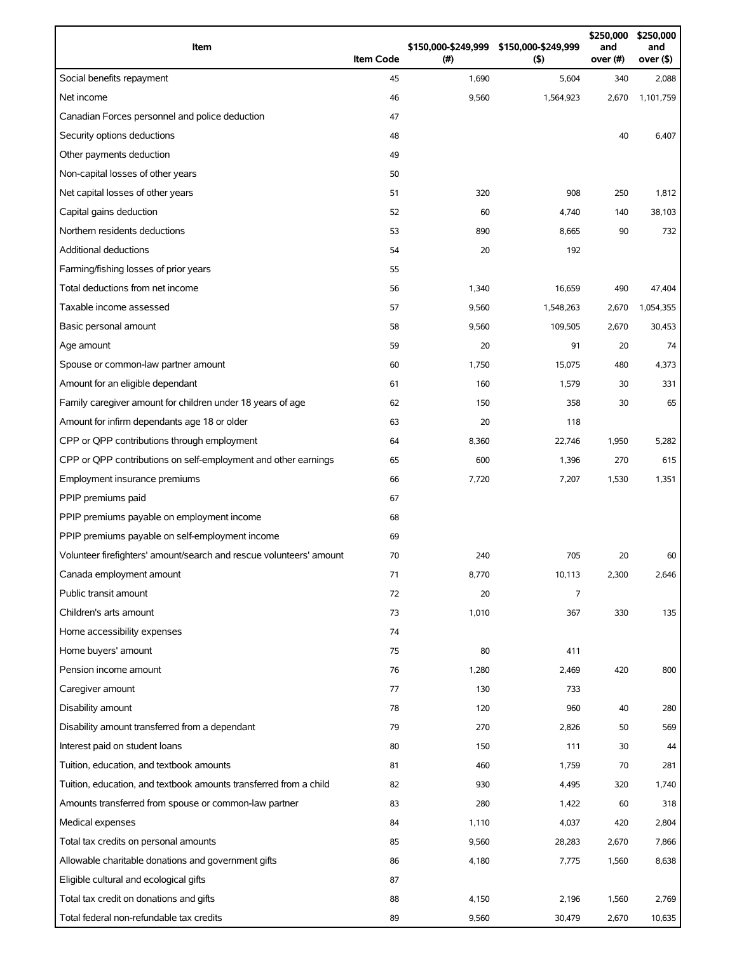| Item                                                                | <b>Item Code</b> | (#)   | \$150,000-\$249,999 \$150,000-\$249,999<br>$($ \$) | \$250,000<br>and<br>over (#) | \$250,000<br>and<br>over (\$) |
|---------------------------------------------------------------------|------------------|-------|----------------------------------------------------|------------------------------|-------------------------------|
| Social benefits repayment                                           | 45               | 1,690 | 5,604                                              | 340                          | 2,088                         |
| Net income                                                          | 46               | 9,560 | 1,564,923                                          | 2,670                        | 1,101,759                     |
| Canadian Forces personnel and police deduction                      | 47               |       |                                                    |                              |                               |
| Security options deductions                                         | 48               |       |                                                    | 40                           | 6,407                         |
| Other payments deduction                                            | 49               |       |                                                    |                              |                               |
| Non-capital losses of other years                                   | 50               |       |                                                    |                              |                               |
| Net capital losses of other years                                   | 51               | 320   | 908                                                | 250                          | 1,812                         |
| Capital gains deduction                                             | 52               | 60    | 4,740                                              | 140                          | 38,103                        |
| Northern residents deductions                                       | 53               | 890   | 8,665                                              | 90                           | 732                           |
| <b>Additional deductions</b>                                        | 54               | 20    | 192                                                |                              |                               |
| Farming/fishing losses of prior years                               | 55               |       |                                                    |                              |                               |
| Total deductions from net income                                    | 56               | 1,340 | 16,659                                             | 490                          | 47,404                        |
| Taxable income assessed                                             | 57               | 9,560 | 1,548,263                                          | 2,670                        | 1,054,355                     |
| Basic personal amount                                               | 58               | 9,560 | 109,505                                            | 2,670                        | 30,453                        |
| Age amount                                                          | 59               | 20    | 91                                                 | 20                           | 74                            |
| Spouse or common-law partner amount                                 | 60               | 1,750 | 15,075                                             | 480                          | 4,373                         |
| Amount for an eligible dependant                                    | 61               | 160   | 1,579                                              | 30                           | 331                           |
| Family caregiver amount for children under 18 years of age          | 62               | 150   | 358                                                | 30                           | 65                            |
| Amount for infirm dependants age 18 or older                        | 63               | 20    | 118                                                |                              |                               |
| CPP or QPP contributions through employment                         | 64               | 8,360 | 22,746                                             | 1,950                        | 5,282                         |
| CPP or QPP contributions on self-employment and other earnings      | 65               | 600   | 1,396                                              | 270                          | 615                           |
| Employment insurance premiums                                       | 66               | 7,720 | 7,207                                              | 1,530                        | 1,351                         |
| PPIP premiums paid                                                  | 67               |       |                                                    |                              |                               |
| PPIP premiums payable on employment income                          | 68               |       |                                                    |                              |                               |
| PPIP premiums payable on self-employment income                     | 69               |       |                                                    |                              |                               |
| Volunteer firefighters' amount/search and rescue volunteers' amount | 70               | 240   | 705                                                | 20                           | 60                            |
| Canada employment amount                                            | 71               | 8,770 | 10,113                                             | 2,300                        | 2,646                         |
| Public transit amount                                               | 72               | 20    | 7                                                  |                              |                               |
| Children's arts amount                                              | 73               | 1,010 | 367                                                | 330                          | 135                           |
| Home accessibility expenses                                         | 74               |       |                                                    |                              |                               |
| Home buyers' amount                                                 | 75               | 80    | 411                                                |                              |                               |
| Pension income amount                                               | 76               | 1,280 | 2,469                                              | 420                          | 800                           |
| Caregiver amount                                                    | 77               | 130   | 733                                                |                              |                               |
| Disability amount                                                   | 78               | 120   | 960                                                | 40                           | 280                           |
| Disability amount transferred from a dependant                      | 79               | 270   | 2,826                                              | 50                           | 569                           |
| Interest paid on student loans                                      | 80               | 150   | 111                                                | 30                           | 44                            |
| Tuition, education, and textbook amounts                            | 81               | 460   | 1,759                                              | 70                           | 281                           |
| Tuition, education, and textbook amounts transferred from a child   | 82               | 930   | 4,495                                              | 320                          | 1,740                         |
| Amounts transferred from spouse or common-law partner               | 83               | 280   | 1,422                                              | 60                           | 318                           |
| Medical expenses                                                    | 84               | 1,110 | 4,037                                              | 420                          | 2,804                         |
| Total tax credits on personal amounts                               | 85               | 9,560 | 28,283                                             | 2,670                        | 7,866                         |
| Allowable charitable donations and government gifts                 | 86               | 4,180 | 7,775                                              | 1,560                        | 8,638                         |
| Eligible cultural and ecological gifts                              | 87               |       |                                                    |                              |                               |
| Total tax credit on donations and gifts                             | 88               | 4,150 | 2,196                                              | 1,560                        | 2,769                         |
| Total federal non-refundable tax credits                            | 89               | 9,560 | 30,479                                             | 2,670                        | 10,635                        |